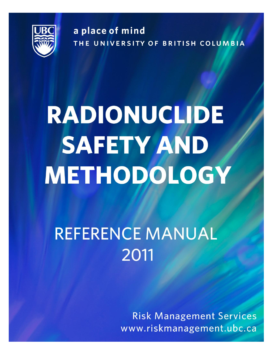

a place of mind THE UNIVERSITY OF BRITISH COLUMBIA

# RADIONUCLIDE **SAFETY AND** METHODOLOGY

# **REFERENCE MANUAL** 2011

**Risk Management Services** www.riskmanagement.ubc.ca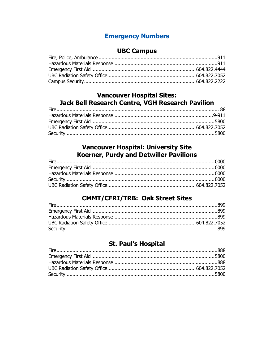# **Emergency Numbers**

# **UBC Campus**

<span id="page-1-0"></span>

# **Vancouver Hospital Sites:** Jack Bell Research Centre, VGH Research Pavilion

# **Vancouver Hospital: University Site** Koerner, Purdy and Detwiller Pavilions

# **CMMT/CFRI/TRB: Oak Street Sites**

# **St. Paul's Hospital**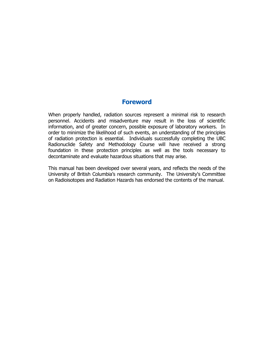#### **Foreword**

When properly handled, radiation sources represent a minimal risk to research personnel. Accidents and misadventure may result in the loss of scientific information, and of greater concern, possible exposure of laboratory workers. In order to minimize the likelihood of such events, an understanding of the principles of radiation protection is essential. Individuals successfully completing the UBC Radionuclide Safety and Methodology Course will have received a strong foundation in these protection principles as well as the tools necessary to decontaminate and evaluate hazardous situations that may arise.

This manual has been developed over several years, and reflects the needs of the University of British Columbia's research community. The University's Committee on Radioisotopes and Radiation Hazards has endorsed the contents of the manual.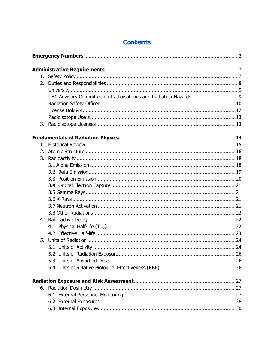| 2. |                                                                  |
|----|------------------------------------------------------------------|
|    |                                                                  |
|    | UBC Advisory Committee on Radioisotopes and Radiation Hazards  9 |
|    |                                                                  |
|    |                                                                  |
|    |                                                                  |
| 3. |                                                                  |
|    |                                                                  |
| 1. |                                                                  |
| 2. |                                                                  |
| 3. |                                                                  |
|    |                                                                  |
|    |                                                                  |
|    |                                                                  |
|    |                                                                  |
|    |                                                                  |
|    |                                                                  |
|    |                                                                  |
|    |                                                                  |
| 4. |                                                                  |
|    |                                                                  |
|    |                                                                  |
| 5. |                                                                  |
|    |                                                                  |
|    |                                                                  |
|    |                                                                  |
|    |                                                                  |
|    |                                                                  |
|    |                                                                  |
|    |                                                                  |
|    |                                                                  |
|    |                                                                  |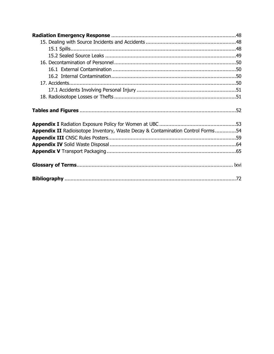| Appendix II Radioisotope Inventory, Waste Decay & Contamination Control Forms54 |  |
|---------------------------------------------------------------------------------|--|
|                                                                                 |  |
|                                                                                 |  |
|                                                                                 |  |
|                                                                                 |  |
|                                                                                 |  |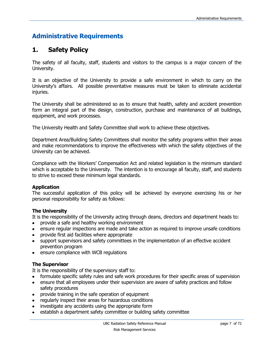# **Administrative Requirements**

# <span id="page-6-0"></span>**1. Safety Policy**

The safety of all faculty, staff, students and visitors to the campus is a major concern of the University.

It is an objective of the University to provide a safe environment in which to carry on the University's affairs. All possible preventative measures must be taken to eliminate accidental injuries.

The University shall be administered so as to ensure that health, safety and accident prevention form an integral part of the design, construction, purchase and maintenance of all buildings, equipment, and work processes.

The University Health and Safety Committee shall work to achieve these objectives.

Department Area/Building Safety Committees shall monitor the safety programs within their areas and make recommendations to improve the effectiveness with which the safety objectives of the University can be achieved.

Compliance with the Workers' Compensation Act and related legislation is the minimum standard which is acceptable to the University. The intention is to encourage all faculty, staff, and students to strive to exceed these minimum legal standards.

#### **Application**

The successful application of this policy will be achieved by everyone exercising his or her personal responsibility for safety as follows:

#### **The University**

It is the responsibility of the University acting through deans, directors and department heads to:

- provide a safe and healthy working environment
- ensure regular inspections are made and take action as required to improve unsafe conditions  $\bullet$
- provide first aid facilities where appropriate
- support supervisors and safety committees in the implementation of an effective accident prevention program
- ensure compliance with WCB regulations

#### **The Supervisor**

It is the responsibility of the supervisory staff to:

- formulate specific safety rules and safe work procedures for their specific areas of supervision
- ensure that all employees under their supervision are aware of safety practices and follow safety procedures
- provide training in the safe operation of equipment
- regularly inspect their areas for hazardous conditions
- investigate any accidents using the appropriate form
- establish a department safety committee or building safety committee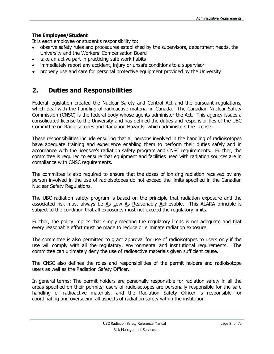#### **The Employee/Student**

It is each employee or student's responsibility to:

- observe safety rules and procedures established by the supervisors, department heads, the University and the Workers' Compensation Board
- take an active part in practicing safe work habits
- immediately report any accident, injury or unsafe conditions to a supervisor
- properly use and care for personal protective equipment provided by the University

# <span id="page-7-0"></span>**2. Duties and Responsibilities**

Federal legislation created the Nuclear Safety and Control Act and the pursuant regulations, which deal with the handling of radioactive material in Canada. The Canadian Nuclear Safety Commission (CNSC) is the federal body whose agents administer the Act. This agency issues a consolidated license to the University and has defined the duties and responsibilities of the UBC Committee on Radioisotopes and Radiation Hazards, which administers the license.

These responsibilities include ensuring that all persons involved in the handling of radioisotopes have adequate training and experience enabling them to perform their duties safely and in accordance with the licensee's radiation safety program and CNSC requirements. Further, the committee is required to ensure that equipment and facilities used with radiation sources are in compliance with CNSC requirements.

The committee is also required to ensure that the doses of ionizing radiation received by any person involved in the use of radioisotopes do not exceed the limits specified in the Canadian Nuclear Safety Regulations.

The UBC radiation safety program is based on the principle that radiation exposure and the associated risk must always be As Low As Reasonably Achievable. This ALARA principle is subject to the condition that all exposures must not exceed the regulatory limits.

Further, the policy implies that simply meeting the regulatory limits is not adequate and that every reasonable effort must be made to reduce or eliminate radiation exposure.

The committee is also permitted to grant approval for use of radioisotopes to users only if the use will comply with all the regulatory, environmental and institutional requirements. The committee can ultimately deny the use of radioactive materials given sufficient cause.

The CNSC also defines the roles and responsibilities of the permit holders and radioisotope users as well as the Radiation Safety Officer.

In general terms: The permit holders are personally responsible for radiation safety in all the areas specified on their permits; users of radioisotopes are personally responsible for the safe handling of radioactive materials, and the Radiation Safety Officer is responsible for coordinating and overseeing all aspects of radiation safety within the institution.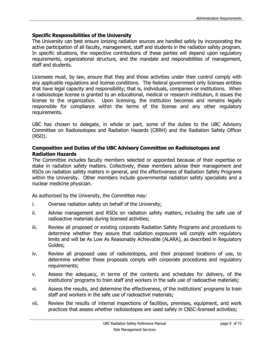#### <span id="page-8-0"></span>**Specific Responsibilities of the University**

The University can best ensure ionizing radiation sources are handled safely by incorporating the active participation of all faculty, management, staff and students in the radiation safety program. In specific situations, the respective contributions of these parties will depend upon regulatory requirements, organizational structure, and the mandate and responsibilities of management, staff and students.

Licensees must, by law, ensure that they and those activities under their control comply with any applicable regulations and license conditions. The federal government only licenses entities that have legal capacity and responsibility; that is, individuals, companies or institutions. When a radioisotope license is granted to an educational, medical or research institution, it issues the license to the organization. Upon licensing, the institution becomes and remains legally responsible for compliance within the terms of the license and any other regulatory requirements.

UBC has chosen to delegate, in whole or part, some of the duties to the UBC Advisory Committee on Radioisotopes and Radiation Hazards (CRRH) and the Radiation Safety Officer (RSO).

#### <span id="page-8-1"></span>**Composition and Duties of the UBC Advisory Committee on Radioisotopes and Radiation Hazards**

The Committee includes faculty members selected or appointed because of their expertise or stake in radiation safety matters. Collectively, these members advise their management and RSOs on radiation safety matters in general, and the effectiveness of Radiation Safety Programs within the University. Other members include governmental radiation safety specialists and a nuclear medicine physician.

As authorized by the University, the Committee may:

- i. Oversee radiation safety on behalf of the University;
- ii. Advise management and RSOs on radiation safety matters, including the safe use of radioactive materials during licensed activities;
- iii. Review all proposed or existing corporate Radiation Safety Programs and procedures to determine whether they assure that radiation exposures will comply with regulatory limits and will be As Low As Reasonably Achievable (ALARA), as described in Regulatory Guides;
- iv. Review all proposed uses of radioisotopes, and their proposed locations of use, to determine whether these proposals comply with corporate procedures and regulatory requirements;
- v. Assess the adequacy, in terms of the contents and schedules for delivery, of the institutions' programs to train staff and workers in the safe use of radioactive materials;
- vi. Assess the results, and determine the effectiveness, of the institutions' programs to train staff and workers in the safe use of radioactive materials;
- vii. Review the results of internal inspections of facilities, premises, equipment, and work practices that assess whether radioisotopes are used safely in CNSC-licensed activities;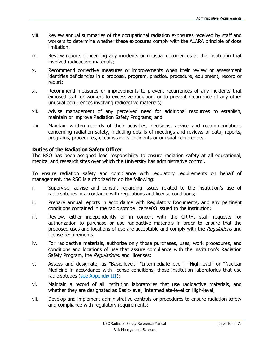- viii. Review annual summaries of the occupational radiation exposures received by staff and workers to determine whether these exposures comply with the ALARA principle of dose limitation;
- ix. Review reports concerning any incidents or unusual occurrences at the institution that involved radioactive materials;
- x. Recommend corrective measures or improvements when their review or assessment identifies deficiencies in a proposal, program, practice, procedure, equipment, record or report;
- xi. Recommend measures or improvements to prevent recurrences of any incidents that exposed staff or workers to excessive radiation, or to prevent recurrence of any other unusual occurrences involving radioactive materials;
- xii. Advise management of any perceived need for additional resources to establish, maintain or improve Radiation Safety Programs; and
- xiii. Maintain written records of their activities, decisions, advice and recommendations concerning radiation safety, including details of meetings and reviews of data, reports, programs, procedures, circumstances, incidents or unusual occurrences.

#### <span id="page-9-0"></span>**Duties of the Radiation Safety Officer**

The RSO has been assigned lead responsibility to ensure radiation safety at all educational, medical and research sites over which the University has administrative control.

To ensure radiation safety and compliance with regulatory requirements on behalf of management, the RSO is authorized to do the following:

- i. Supervise, advise and consult regarding issues related to the institution's use of radioisotopes in accordance with regulations and license conditions;
- ii. Prepare annual reports in accordance with Regulatory Documents, and any pertinent conditions contained in the radioisotope license(s) issued to the institution;
- iii. Review, either independently or in concert with the CRRH, staff requests for authorization to purchase or use radioactive materials in order to ensure that the proposed uses and locations of use are acceptable and comply with the Regulations and license requirements;
- iv. For radioactive materials, authorize only those purchases, uses, work procedures, and conditions and locations of use that assure compliance with the institution's Radiation Safety Program, the Regulations, and licenses;
- v. Assess and designate, as "Basic-level," "Intermediate-level", "High-level" or "Nuclear Medicine in accordance with license conditions, those institution laboratories that use radioisotopes [\(see Appendix III\)](#page-58-0);
- vi. Maintain a record of all institution laboratories that use radioactive materials, and whether they are designated as Basic-level, Intermediate-level or High-level;
- vii. Develop and implement administrative controls or procedures to ensure radiation safety and compliance with regulatory requirements;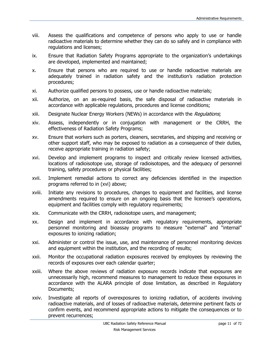- viii. Assess the qualifications and competence of persons who apply to use or handle radioactive materials to determine whether they can do so safely and in compliance with regulations and licenses;
- ix. Ensure that Radiation Safety Programs appropriate to the organization's undertakings are developed, implemented and maintained;
- x. Ensure that persons who are required to use or handle radioactive materials are adequately trained in radiation safety and the institution's radiation protection procedures;
- xi. Authorize qualified persons to possess, use or handle radioactive materials;
- xii. Authorize, on an as-required basis, the safe disposal of radioactive materials in accordance with applicable regulations, procedures and license conditions;
- xiii. Designate Nuclear Energy Workers (NEWs) in accordance with the Regulations;
- xiv. Assess, independently or in conjugation with management or the CRRH, the effectiveness of Radiation Safety Programs;
- xv. Ensure that workers such as porters, cleaners, secretaries, and shipping and receiving or other support staff, who may be exposed to radiation as a consequence of their duties, receive appropriate training in radiation safety;
- xvi. Develop and implement programs to inspect and critically review licensed activities, locations of radioisotope use, storage of radioisotopes, and the adequacy of personnel training, safety procedures or physical facilities;
- xvii. Implement remedial actions to correct any deficiencies identified in the inspection programs referred to in (xvi) above;
- xviii. Initiate any revisions to procedures, changes to equipment and facilities, and license amendments required to ensure on an ongoing basis that the licensee's operations, equipment and facilities comply with regulatory requirements;
- xix. Communicate with the CRRH, radioisotope users, and management;
- xx. Design and implement in accordance with regulatory requirements, appropriate personnel monitoring and bioassay programs to measure "external" and "internal" exposures to ionizing radiation;
- xxi. Administer or control the issue, use, and maintenance of personnel monitoring devices and equipment within the institution, and the recording of results;
- xxii. Monitor the occupational radiation exposures received by employees by reviewing the records of exposures over each calendar quarter;
- xxiii. Where the above reviews of radiation exposure records indicate that exposures are unnecessarily high, recommend measures to management to reduce these exposures in accordance with the ALARA principle of dose limitation, as described in Regulatory Documents;
- xxiv. Investigate all reports of overexposures to ionizing radiation, of accidents involving radioactive materials, and of losses of radioactive materials, determine pertinent facts or confirm events, and recommend appropriate actions to mitigate the consequences or to prevent recurrences;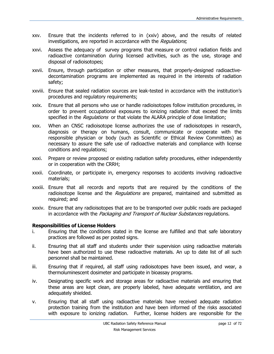- xxv. Ensure that the incidents referred to in (xxiv) above, and the results of related investigations, are reported in accordance with the Regulations;
- xxvi. Assess the adequacy of survey programs that measure or control radiation fields and radioactive contamination during licensed activities, such as the use, storage and disposal of radioisotopes;
- xxvii. Ensure, through participation or other measures, that properly-designed radioactivedecontamination programs are implemented as required in the interests of radiation safety;
- xxviii. Ensure that sealed radiation sources are leak-tested in accordance with the institution's procedures and regulatory requirements;
- xxix. Ensure that all persons who use or handle radioisotopes follow institution procedures, in order to prevent occupational exposures to ionizing radiation that exceed the limits specified in the Regulations or that violate the ALARA principle of dose limitation;
- xxx. When an CNSC radioisotope license authorizes the use of radioisotopes in research, diagnosis or therapy on humans, consult, communicate or cooperate with the responsible physician or body (such as Scientific or Ethical Review Committees) as necessary to assure the safe use of radioactive materials and compliance with license conditions and regulations;
- xxxi. Prepare or review proposed or existing radiation safety procedures, either independently or in cooperation with the CRRH;
- xxxii. Coordinate, or participate in, emergency responses to accidents involving radioactive materials;
- xxxiii. Ensure that all records and reports that are required by the conditions of the radioisotope license and the *Regulations* are prepared, maintained and submitted as required; and
- xxxiv. Ensure that any radioisotopes that are to be transported over public roads are packaged in accordance with the Packaging and Transport of Nuclear Substances regulations.

#### <span id="page-11-0"></span>**Responsibilities of License Holders**

- i. Ensuring that the conditions stated in the license are fulfilled and that safe laboratory practices are followed as per posted signs.
- ii. Ensuring that all staff and students under their supervision using radioactive materials have been authorized to use these radioactive materials. An up to date list of all such personnel shall be maintained.
- iii. Ensuring that if required, all staff using radioisotopes have been issued, and wear, a thermoluminescent dosimeter and participate in bioassay programs.
- iv. Designating specific work and storage areas for radioactive materials and ensuring that these areas are kept clean, are properly labeled, have adequate ventilation, and are adequately shielded.
- v. Ensuring that all staff using radioactive materials have received adequate radiation protection training from the institution and have been informed of the risks associated with exposure to ionizing radiation. Further, license holders are responsible for the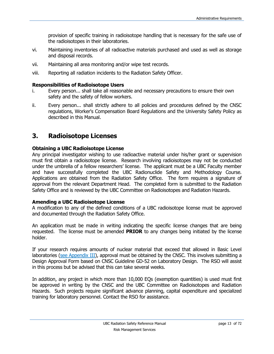provision of specific training in radioisotope handling that is necessary for the safe use of the radioisotopes in their laboratories.

- vi. Maintaining inventories of all radioactive materials purchased and used as well as storage and disposal records.
- vii. Maintaining all area monitoring and/or wipe test records.
- viii. Reporting all radiation incidents to the Radiation Safety Officer.

#### <span id="page-12-0"></span>**Responsibilities of Radioisotope Users**

- i. Every person... shall take all reasonable and necessary precautions to ensure their own safety and the safety of fellow workers.
- ii. Every person... shall strictly adhere to all policies and procedures defined by the CNSC regulations, Worker's Compensation Board Regulations and the University Safety Policy as described in this Manual.

# <span id="page-12-1"></span>**3. Radioisotope Licenses**

#### **Obtaining a UBC Radioisotope License**

Any principal investigator wishing to use radioactive material under his/her grant or supervision must first obtain a radioisotope license. Research involving radioisotopes may not be conducted under the umbrella of a fellow researchers' license. The applicant must be a UBC Faculty member and have successfully completed the UBC Radionuclide Safety and Methodology Course. Applications are obtained from the Radiation Safety Office. The form requires a signature of approval from the relevant Department Head. The completed form is submitted to the Radiation Safety Office and is reviewed by the UBC Committee on Radioisotopes and Radiation Hazards.

#### **Amending a UBC Radioisotope License**

A modification to any of the defined conditions of a UBC radioisotope license must be approved and documented through the Radiation Safety Office.

An application must be made in writing indicating the specific license changes that are being requested. The license must be amended **PRIOR** to any changes being initiated by the license holder.

If your research requires amounts of nuclear material that exceed that allowed in Basic Level laboratories [\(see Appendix III\)](#page-58-0), approval must be obtained by the CNSC. This involves submitting a Design Approval Form based on CNSC Guideline GD-52 on Laboratory Design. The RSO will assist in this process but be advised that this can take several weeks.

In addition, any project in which more than 10,000 EQs (exemption quantities) is used must first be approved in writing by the CNSC and the UBC Committee on Radioisotopes and Radiation Hazards. Such projects require significant advance planning, capital expenditure and specialized training for laboratory personnel. Contact the RSO for assistance.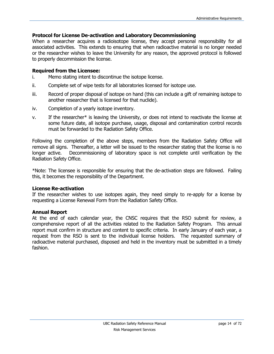#### **Protocol for License De-activation and Laboratory Decommissioning**

When a researcher acquires a radioisotope license, they accept personal responsibility for all associated activities. This extends to ensuring that when radioactive material is no longer needed or the researcher wishes to leave the University for any reason, the approved protocol is followed to properly decommission the license.

#### **Required from the Licensee:**

- i. Memo stating intent to discontinue the isotope license.
- ii. Complete set of wipe tests for all laboratories licensed for isotope use.
- iii. Record of proper disposal of isotope on hand (this can include a gift of remaining isotope to another researcher that is licensed for that nuclide).
- iv. Completion of a yearly isotope inventory.
- v. If the researcher\* is leaving the University, or does not intend to reactivate the license at some future date, all isotope purchase, usage, disposal and contamination control records must be forwarded to the Radiation Safety Office.

Following the completion of the above steps, members from the Radiation Safety Office will remove all signs. Thereafter, a letter will be issued to the researcher stating that the license is no longer active. Decommissioning of laboratory space is not complete until verification by the Radiation Safety Office.

\*Note: The licensee is responsible for ensuring that the de-activation steps are followed. Failing this, it becomes the responsibility of the Department.

#### **License Re-activation**

If the researcher wishes to use isotopes again, they need simply to re-apply for a license by requesting a License Renewal Form from the Radiation Safety Office.

#### **Annual Report**

At the end of each calendar year, the CNSC requires that the RSO submit for review, a comprehensive report of all the activities related to the Radiation Safety Program. This annual report must confirm in structure and content to specific criteria. In early January of each year, a request from the RSO is sent to the individual license holders. The requested summary of radioactive material purchased, disposed and held in the inventory must be submitted in a timely fashion.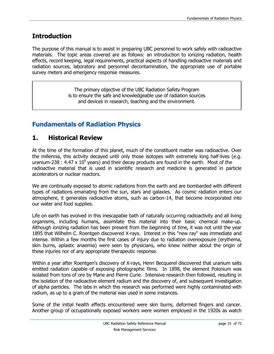# **Introduction**

The purpose of this manual is to assist in preparing UBC personnel to work safely with radioactive materials. The topic areas covered are as follows: an introduction to ionizing radiation, health effects, record keeping, legal requirements, practical aspects of handling radioactive materials and radiation sources, laboratory and personnel decontamination, the appropriate use of portable survey meters and emergency response measures.

> The primary objective of the UBC Radiation Safety Program is to ensure the safe and knowledgeable use of radiation sources and devices in research, teaching and the environment.

# **Fundamentals of Radiation Physics**

# <span id="page-14-0"></span>**1. Historical Review**

At the time of the formation of this planet, much of the constituent matter was radioactive. Over the millennia, this activity decayed until only those isotopes with extremely long half-lives (e.g. uranium-238 : 4.47 x 10<sup>9</sup> years) and their decay products are found in the earth. Most of the radioactive material that is used in scientific research and medicine is generated in particle accelerators or nuclear reactors.

We are continually exposed to atomic radiations from the earth and are bombarded with different types of radiations emanating from the sun, stars and galaxies. As cosmic radiation enters our atmosphere, it generates radioactive atoms, such as carbon-14, that become incorporated into our water and food supplies.

Life on earth has evolved in this inescapable bath of naturally occurring radioactivity and all living organisms, including humans, assimilate this material into their basic chemical make-up. Although ionizing radiation has been present from the beginning of time, it was not until the year 1895 that Wilhelm C. Roentgen discovered X-rays. Interest in this "new ray" was immediate and intense. Within a few months the first cases of injury due to radiation overexposure (erythema, skin burns, aplastic anaemia) were seen by physicians, who knew neither about the origin of these injuries nor of any appropriate therapeutic response.

Within a year after Roentgen's discovery of X-rays, Henri Becquerel discovered that uranium salts emitted radiation capable of exposing photographic films. In 1898, the element Polonium was isolated from tons of ore by Marie and Pierre Curie. Intensive research then followed, resulting in the isolation of the radioactive element radium and the discovery of, and subsequent investigation of alpha particles. The labs in which this research was performed were highly contaminated with radium, as up to a gram of the material was used in some instances.

Some of the initial health effects encountered were skin burns, deformed fingers and cancer. Another group of occupationally exposed workers were women employed in the 1920s as watch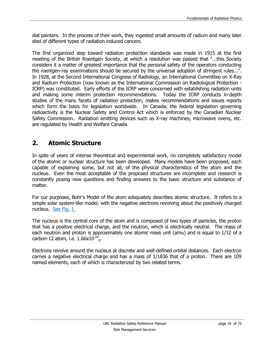dial painters. In the process of their work, they ingested small amounts of radium and many later died of different types of radiation induced cancers.

The first organized step toward radiation protection standards was made in 1915 at the first meeting of the British Roentgen Society, at which a resolution was passed that "...this Society considers it a matter of greatest importance that the personal safety of the operators conducting the roentgen-ray examinations should be secured by the universal adoption of stringent rules...". In 1928, at the Second International Congress of Radiology, an International Committee on X-Ray and Radium Protection (now known as the International Commission on Radiological Protection - ICRP) was constituted. Early efforts of the ICRP were concerned with establishing radiation units and making some interim protection recommendations. Today the ICRP conducts in-depth studies of the many facets of radiation protection, makes recommendations and issues reports which form the basis for legislation worldwide. In Canada, the federal legislation governing radioactivity is the Nuclear Safety and Control Act which is enforced by the Canadian Nuclear Safety Commission. Radiation emitting devices such as X-ray machines, microwave ovens, etc. are regulated by Health and Welfare Canada.

# <span id="page-15-0"></span>**2. Atomic Structure**

In spite of years of intense theoretical and experimental work, no completely satisfactory model of the atomic or nuclear structure has been developed. Many models have been proposed, each capable of explaining some, but not all, of the physical characteristics of the atom and the nucleus. Even the most acceptable of the proposed structures are incomplete and research is constantly posing new questions and finding answers to the basic structure and substance of matter.

For our purposes, Bohr's Model of the atom adequately describes atomic structure. It refers to a simple solar system-like model, with the negative electrons revolving about the positively charged nucleus. [See Fig. 1.](#page-16-0)

The nucleus is the central core of the atom and is composed of two types of particles, the proton that has a positive electrical charge, and the neutron, which is electrically neutral. The mass of each neutron and proton is approximately one atomic mass unit (amu) and is equal to 1/12 of a carbon-12 atom, i.e.  $1.66 \times 10^{-24}$ <sub>g</sub>.

Electrons revolve around the nucleus at discrete and well-defined orbital distances. Each electron carries a negative electrical charge and has a mass of 1/1836 that of a proton. There are 109 named elements, each of which is characterized by two related terms.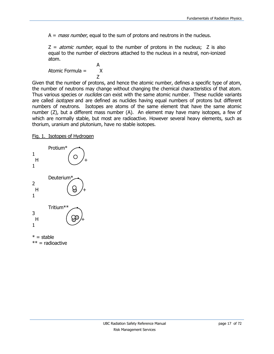$A = mass number$ , equal to the sum of protons and neutrons in the nucleus.

 $Z = atomic number$ , equal to the number of protons in the nucleus; Z is also equal to the number of electrons attached to the nucleus in a neutral, non-ionized atom.

A Atomic Formula = X Z

Given that the number of protons, and hence the atomic number, defines a specific type of atom, the number of neutrons may change without changing the chemical characteristics of that atom. Thus various species or *nuclides* can exist with the same atomic number. These nuclide variants are called *isotopes* and are defined as nuclides having equal numbers of protons but different numbers of neutrons. Isotopes are atoms of the same element that have the same atomic number (Z), but a different mass number (A). An element may have many isotopes, a few of which are normally stable, but most are radioactive. However several heavy elements, such as thorium, uranium and plutonium, have no stable isotopes.

#### <span id="page-16-0"></span>Fig. 1. Isotopes of Hydrogen



 $***$  = radioactive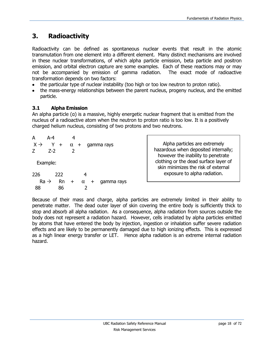# <span id="page-17-0"></span>**3. Radioactivity**

Radioactivity can be defined as spontaneous nuclear events that result in the atomic transmutation from one element into a different element. Many distinct mechanisms are involved in these nuclear transformations, of which alpha particle emission, beta particle and positron emission, and orbital electron capture are some examples. Each of these reactions may or may not be accompanied by emission of gamma radiation. The exact mode of radioactive transformation depends on two factors:

- the particular type of nuclear instability (too high or too low neutron to proton ratio).
- the mass-energy relationships between the parent nucleus, progeny nucleus, and the emitted particle.

# <span id="page-17-1"></span>**3.1 Alpha Emission**

An alpha particle (α) is a massive, highly energetic nuclear fragment that is emitted from the nucleus of a radioactive atom when the neutron to proton ratio is too low. It is a positively charged helium nucleus, consisting of two protons and two neutrons.

| А               | $A - 4$                |           |          |                       |            |  |
|-----------------|------------------------|-----------|----------|-----------------------|------------|--|
| $X \rightarrow$ | $Y +$                  |           |          | $\alpha$ + gamma rays |            |  |
| Ζ               | $Z-2$                  | 2         |          |                       |            |  |
|                 | Example:               |           |          |                       |            |  |
| 226             | 222                    |           | 4        |                       |            |  |
|                 | $Ra \rightarrow$<br>Rn | $\ddot{}$ | $\alpha$ | $\pm$                 | gamma rays |  |
|                 | 86                     |           | 2        |                       |            |  |

Alpha particles are extremely hazardous when deposited internally; however the inability to penetrate clothing or the dead surface layer of skin minimizes the risk of external exposure to alpha radiation.

Because of their mass and charge, alpha particles are extremely limited in their ability to penetrate matter. The dead outer layer of skin covering the entire body is sufficiently thick to stop and absorb all alpha radiation. As a consequence, alpha radiation from sources outside the body does not represent a radiation hazard. However, cells irradiated by alpha particles emitted by atoms that have entered the body by injection, ingestion or inhalation suffer severe radiation effects and are likely to be permanently damaged due to high ionizing effects. This is expressed as a high linear energy transfer or LET. Hence alpha radiation is an extreme internal radiation hazard.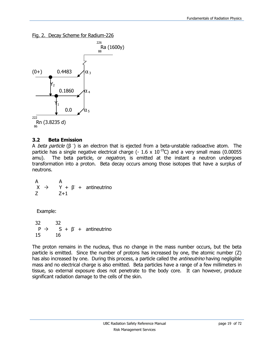<span id="page-18-1"></span>Fig. 2. Decay Scheme for Radium-226



#### <span id="page-18-0"></span>**3.2 Beta Emission**

A *beta particle* (β<sup>-</sup>) is an electron that is ejected from a beta-unstable radioactive atom. The particle has a single negative electrical charge (-  $1.6 \times 10^{-19}$ C) and a very small mass (0.00055 amu). The beta particle, or *negatron*, is emitted at the instant a neutron undergoes transformation into a proton. Beta decay occurs among those isotopes that have a surplus of neutrons.

 A A  $X \rightarrow Y + \beta +$  antineutrino Z Z+1

Example:

 32 32  $P \rightarrow$   $S + \beta +$  antineutrino 15 16

The proton remains in the nucleus, thus no change in the mass number occurs, but the beta particle is emitted. Since the number of protons has increased by one, the atomic number (Z) has also increased by one. During this process, a particle called the *antineutrino* having negligible mass and no electrical charge is also emitted. Beta particles have a range of a few millimeters in tissue, so external exposure does not penetrate to the body core. It can however, produce significant radiation damage to the cells of the skin.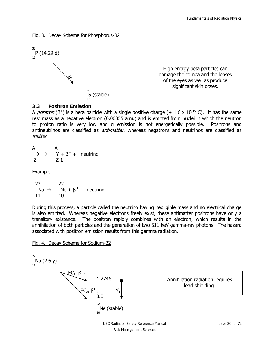<span id="page-19-1"></span>Fig. 3. Decay Scheme for Phosphorus-32



| High energy beta particles can   |
|----------------------------------|
| damage the cornea and the lenses |
| of the eyes as well as produce   |
| significant skin doses.          |

#### <span id="page-19-0"></span>**3.3 Positron Emission**

A *positron* ( $\beta^+$ ) is a beta particle with a single positive charge (+ 1.6 x 10<sup>-19</sup> C). It has the same rest mass as a negative electron (0.00055 amu) and is emitted from nuclei in which the neutron to proton ratio is very low and α emission is not energetically possible. Positrons and antineutrinos are classified as *antimatter*, whereas negatrons and neutrinos are classified as matter.

A  
\n
$$
X \rightarrow Y + \beta^+ + \text{ neutrino}
$$
  
\n $Z = 1$ 

Example:

| 22 | 22                                                    |  |
|----|-------------------------------------------------------|--|
|    | Na $\rightarrow$ Ne + $\beta$ <sup>+</sup> + neutrino |  |
| 11 | 10                                                    |  |

During this process, a particle called the neutrino having negligible mass and no electrical charge is also emitted. Whereas negative electrons freely exist, these antimatter positrons have only a transitory existence. The positron rapidly combines with an electron, which results in the annihilation of both particles and the generation of two 511 keV gamma-ray photons. The hazard associated with positron emission results from this gamma radiation.

<span id="page-19-2"></span>Fig. 4. Decay Scheme for Sodium-22

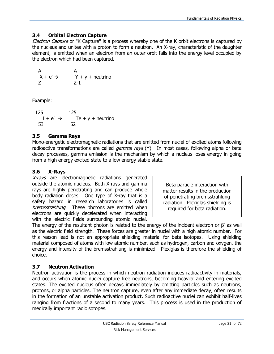# <span id="page-20-0"></span>**3.4 Orbital Electron Capture**

Electron Capture or "K Capture" is a process whereby one of the K orbit electrons is captured by the nucleus and unites with a proton to form a neutron. An X-ray, characteristic of the daughter element, is emitted when an electron from an outer orbit falls into the energy level occupied by the electron which had been captured.

A  

$$
X + e^ \rightarrow
$$
 A  
 $Y + y + neutrino$   
Z  
 $Z-1$ 

Example:

 125 125  $I + e^- \rightarrow$  Te + γ + neutrino 53 52

# <span id="page-20-1"></span>**3.5 Gamma Rays**

Mono-energetic electromagnetic radiations that are emitted from nuclei of excited atoms following radioactive transformations are called *gamma rays* (Y). In most cases, following alpha or beta decay processes, gamma emission is the mechanism by which a nucleus loses energy in going from a high energy excited state to a low energy stable state.

# <span id="page-20-2"></span>**3.6 X-Rays**

X-rays are electromagnetic radiations generated outside the atomic nucleus. Both X-rays and gamma rays are highly penetrating and can produce whole body radiation doses. One type of X-ray that is a safety hazard in research laboratories is called bremsstrahlung. These photons are emitted when electrons are quickly decelerated when interacting with the electric fields surrounding atomic nuclei.

The energy of the resultant photon is related to the energy of the incident electron or  $\beta^-$  as well as the electric field strength. These forces are greater in nuclei with a high atomic number. For this reason lead is not an appropriate shielding material for beta isotopes. Using shielding material composed of atoms with low atomic number, such as hydrogen, carbon and oxygen, the energy and intensity of the bremsstrahlung is minimized. Plexiglas is therefore the shielding of choice.

# <span id="page-20-3"></span>**3.7 Neutron Activation**

Neutron activation is the process in which neutron radiation induces radioactivity in materials, and occurs when atomic nuclei capture free neutrons, becoming heavier and entering excited states. The excited nucleus often decays immediately by emitting particles such as neutrons, protons, or alpha particles. The neutron capture, even after any immediate decay, often results in the formation of an unstable activation product. Such radioactive nuclei can exhibit half-lives ranging from fractions of a second to many years. This process is used in the production of medically important radioisotopes.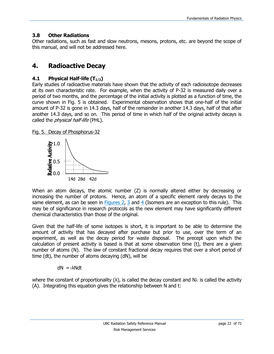# <span id="page-21-0"></span>**3.8 Other Radiations**

Other radiations, such as fast and slow neutrons, mesons, protons, etc. are beyond the scope of this manual, and will not be addressed here.

# <span id="page-21-1"></span>**4. Radioactive Decay**

# <span id="page-21-2"></span>**4.1 Physical Half-life (T1/2)**

Early studies of radioactive materials have shown that the activity of each radioisotope decreases at its own characteristic rate. For example, when the activity of P-32 is measured daily over a period of two months, and the percentage of the initial activity is plotted as a function of time, the curve shown in Fig. 5 is obtained. Experimental observation shows that one-half of the initial amount of P-32 is gone in 14.3 days, half of the remainder in another 14.3 days, half of that after another 14.3 days, and so on. This period of time in which half of the original activity decays is called the *physical half-life* (PHL).

Fig. 5. Decay of Phosphorus-32



When an atom decays, the atomic number (Z) is normally altered either by decreasing or increasing the number of protons. Hence, an atom of a specific element rarely decays to the same element, as can be seen in [Figures 2,](#page-18-1)  $\frac{3}{5}$  and  $\frac{4}{5}$  (Isomers are an exception to this rule). This may be of significance in research protocols as the new element may have significantly different chemical characteristics than those of the original.

Given that the half-life of some isotopes is short, it is important to be able to determine the amount of activity that has decayed after purchase but prior to use, over the term of an experiment, as well as the decay period for waste disposal. The precept upon which the calculation of present activity is based is that at some observation time (t), there are a given number of atoms (N). The law of constant fractional decay requires that over a short period of time (dt), the number of atoms decaying (dN), will be

$$
dN = -\lambda N dt
$$

where the constant of proportionality ( $\lambda$ ), is called the decay constant and N $\lambda$  is called the activity (A). Integrating this equation gives the relationship between N and t: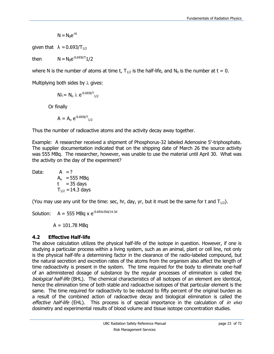$$
N=N_0e^{\text{-}\lambda t}
$$

given that  $\lambda = 0.693/T_{1/2}$ 

then  $N = N_0 e^{-0.693t/T} 1/2$ 

where N is the number of atoms at time t,  $T_{1/2}$  is the half-life, and N<sub>0</sub> is the number at t = 0.

Multiplying both sides by  $\lambda$  gives:

$$
N\lambda = N_o \lambda e^{-0.693t/T}_{1/2}
$$

Or finally

$$
A = A_o e^{-0.693t/T}_{1/2}
$$

Thus the number of radioactive atoms and the activity decay away together.

Example: A researcher received a shipment of Phosphorus-32 labeled Adenosine 5'-triphosphate. The supplier documentation indicated that on the shipping date of March 26 the source activity was 555 MBq. The researcher, however, was unable to use the material until April 30. What was the activity on the day of the experiment?

Data:  $A = ?$ 

$$
A_0 = 555 \text{ MBq} \nt = 35 \text{ days} \nT_{1/2} = 14.3 \text{ days}
$$

(You may use any unit for the time: sec, hr, day, yr, but it must be the same for t and  $T_{1/2}$ ).

Solution:  $A = 555 \text{ MBq} \times e^{-0.693 \times 35d/14.3d}$ 

 $A = 101.78$  MBq

# <span id="page-22-0"></span>**4.2 Effective Half-life**

The above calculation utilizes the physical half-life of the isotope in question. However, if one is studying a particular process within a living system, such as an animal, plant or cell line, not only is the physical half-life a determining factor in the clearance of the radio-labeled compound, but the natural secretion and excretion rates of the atoms from the organism also affect the length of time radioactivity is present in the system. The time required for the body to eliminate one-half of an administered dosage of substance by the regular processes of elimination is called the biological half-life (BHL). The chemical characteristics of all isotopes of an element are identical, hence the elimination time of both stable and radioactive isotopes of that particular element is the same. The time required for radioactivity to be reduced to fifty percent of the original burden as a result of the combined action of radioactive decay and biological elimination is called the effective half-life (EHL). This process is of special importance in the calculation of in vivo dosimetry and experimental results of blood volume and tissue isotope concentration studies.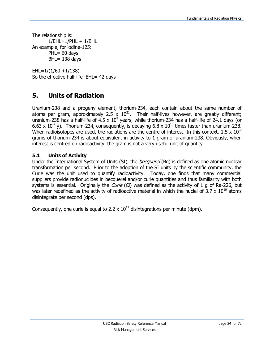The relationship is:  $1/EHL=1/PHL + 1/BHL$ An example, for iodine-125:  $PHL = 60$  days  $BHL = 138$  days

EHL=1/(1/60 +1/138) So the effective half-life EHL= 42 days

# <span id="page-23-0"></span>**5. Units of Radiation**

Uranium-238 and a progeny element, thorium-234, each contain about the same number of atoms per gram, approximately 2.5 x  $10^{21}$ . Their half-lives however, are greatly different; uranium-238 has a half-life of 4.5 x  $10^9$  years, while thorium-234 has a half-life of 24.1 days (or 6.63 x 10<sup>-2</sup> y). Thorium-234, consequently, is decaying 6.8 x 10<sup>10</sup> times faster than uranium-238. When radioisotopes are used, the radiations are the centre of interest. In this context,  $1.5 \times 10^{-7}$ grams of thorium-234 is about equivalent in activity to 1 gram of uranium-238. Obviously, when interest is centred on radioactivity, the gram is not a very useful unit of quantity.

# <span id="page-23-1"></span>**5.1 Units of Activity**

Under the International System of Units (SI), the *becquerel* (Bq) is defined as one atomic nuclear transformation per second. Prior to the adoption of the SI units by the scientific community, the Curie was the unit used to quantify radioactivity. Today, one finds that many commercial suppliers provide radionuclides in becquerel and/or curie quantities and thus familiarity with both systems is essential. Originally the *Curie* (Ci) was defined as the activity of 1 g of Ra-226, but was later redefined as the activity of radioactive material in which the nuclei of  $3.7 \times 10^{10}$  atoms disintegrate per second (dps).

Consequently, one curie is equal to 2.2  $\times$  10<sup>12</sup> disintegrations per minute (dpm).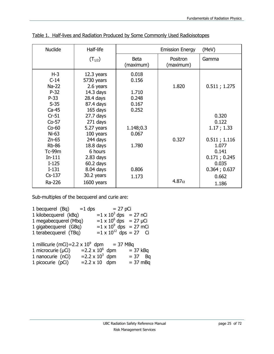| <b>Nuclide</b>                                                                         | Half-life                                                                              |                                           | <b>Emission Energy</b> | (MeV)                                                                   |
|----------------------------------------------------------------------------------------|----------------------------------------------------------------------------------------|-------------------------------------------|------------------------|-------------------------------------------------------------------------|
|                                                                                        | $(T_{1/2})$                                                                            | <b>Beta</b><br>(maximum)                  | Positron<br>(maximum)  | Gamma                                                                   |
| $H-3$<br>$C-14$<br>$Na-22$<br>$P-32$<br>$P-33$<br>$S-35$                               | $12.3$ years<br>5730 years<br>2.6 years<br>$14.3$ days<br>$28.4$ days<br>87.4 days     | 0.018<br>0.156<br>1.710<br>0.248<br>0.167 | 1.820                  | 0.511; 1.275                                                            |
| $Ca-45$<br>$Cr-51$<br>$Co-57$<br>$Co-60$<br>$Ni-63$                                    | 165 days<br>$27.7$ days<br>271 days<br>5.27 years<br>100 years                         | 0.252<br>1.148;0.3<br>0.067               |                        | 0.320<br>0.122<br>1.17; 1.33                                            |
| $Zn-65$<br><b>Rb-86</b><br><b>Tc-99m</b><br>$In-111$<br>$I-125$<br>$I-131$<br>$Cs-137$ | 244 days<br>18.8 <sub>days</sub><br>6 hours<br>$2.83$ days<br>$60.2$ days<br>8.04 days | 1.780<br>0.806                            | 0.327                  | 0.511; 1.116<br>1.077<br>0.141<br>0.171; 0.245<br>0.035<br>0.364; 0.637 |
| Ra-226                                                                                 | 30.2 years<br>1600 years                                                               | 1.173                                     | 4.87 $\alpha$          | 0.662<br>1.186                                                          |

Table 1. Half-lives and Radiation Produced by Some Commonly Used Radioisotopes

Sub-multiples of the becquerel and curie are:

| 1 becquerel $(Bq)$ = 1 dps                   |                        | $= 27$ pCi                      |              |
|----------------------------------------------|------------------------|---------------------------------|--------------|
| 1 kilobecquerel (kBq)                        |                        | $=1 \times 10^3$ dps = 27 nCi   |              |
| 1 megabecquerel (Mbq)                        |                        | $=1 \times 10^6$ dps = 27 µCi   |              |
| 1 gigabecquerel (GBq)                        |                        | $=1 \times 10^9$ dps = 27 mCi   |              |
| 1 terabecquerel (TBq)                        |                        | $=1 \times 10^{12}$ dps = 27 Ci |              |
|                                              |                        |                                 |              |
| 1 millicurie (mCi)=2.2 x $10^9$ dpm = 37 MBq |                        |                                 |              |
| 1 microcurie (µCi)                           | $=2.2 \times 10^6$ dpm |                                 | $=$ 37 kBq   |
| 1 nanocurie (nCi)                            | $=2.2 \times 10^3$ dpm |                                 | $= 37$<br>Ba |
| 1 picocurie (pCi)                            | $= 2.2 \times 10$ dpm  |                                 | $= 37$ mBq   |
|                                              |                        |                                 |              |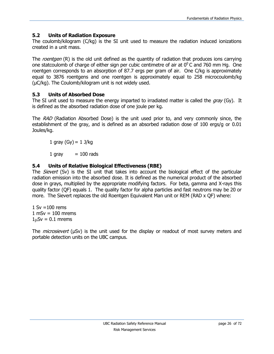# <span id="page-25-0"></span>**5.2 Units of Radiation Exposure**

The coulomb/kilogram (C/kg) is the SI unit used to measure the radiation induced ionizations created in a unit mass.

The roentgen (R) is the old unit defined as the quantity of radiation that produces ions carrying one statcoulomb of charge of either sign per cubic centimetre of air at  $0^0$ C and 760 mm Hg. One roentgen corresponds to an absorption of 87.7 ergs per gram of air. One C/kg is approximately equal to 3876 roentgens and one roentgen is approximately equal to 258 microcoulomb/kg (µC/kg). The Coulomb/kilogram unit is not widely used.

# <span id="page-25-1"></span>**5.3 Units of Absorbed Dose**

The SI unit used to measure the energy imparted to irradiated matter is called the  $gray$  (Gy). It is defined as the absorbed radiation dose of one joule per kg.

The RAD (Radiation Absorbed Dose) is the unit used prior to, and very commonly since, the establishment of the gray, and is defined as an absorbed radiation dose of 100 ergs/g or 0.01 Joules/kg.

1 gray  $(Gy) = 1$  J/kg

 $1$  gray  $= 100$  rads

# <span id="page-25-2"></span>**5.4 Units of Relative Biological Effectiveness (RBE)**

The *Sievert* (Sv) is the SI unit that takes into account the biological effect of the particular radiation emission into the absorbed dose. It is defined as the numerical product of the absorbed dose in grays, multiplied by the appropriate modifying factors. For beta, gamma and X-rays this quality factor (QF) equals 1. The quality factor for alpha particles and fast neutrons may be 20 or more. The Sievert replaces the old Roentgen Equivalent Man unit or REM (RAD x QF) where:

 $1 Sv = 100$  rems  $1$  mSv = 100 mrems  $1 \mu Sv = 0.1$  mrems

The *microsievert* (µSv) is the unit used for the display or readout of most survey meters and portable detection units on the UBC campus.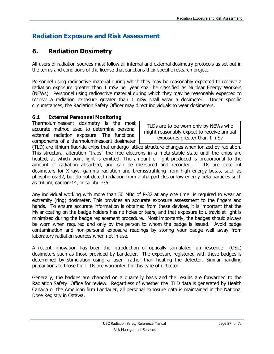# **Radiation Exposure and Risk Assessment**

# <span id="page-26-0"></span>**6. Radiation Dosimetry**

All users of radiation sources must follow all internal and external dosimetry protocols as set out in the terms and conditions of the license that sanctions their specific research project.

Personnel using radioactive material during which they may be reasonably expected to receive a radiation exposure greater than 1 mSv per year shall be classified as Nuclear Energy Workers (NEWs). Personnel using radioactive material during which they may be reasonably expected to receive a radiation exposure greater than 1 mSv shall wear a dosimeter. Under specific circumstances, the Radiation Safety Officer may direct individuals to wear dosimeters.

#### <span id="page-26-1"></span>**6.1 External Personnel Monitoring**

Thermoluminescent dosimetry is the most accurate method used to determine personal external radiation exposure. The functional components of a thermoluminescent dosimeter

TLDs are to be worn only by NEWs who might reasonably expect to receive annual exposures greater than 1 mSv

(TLD) are lithium fluoride chips that undergo lattice structure changes when ionized by radiation. This structural alteration "traps" the free electrons in a meta-stable state until the chips are heated, at which point light is emitted. The amount of light produced is proportional to the amount of radiation absorbed, and can be measured and recorded. TLDs are excellent dosimeters for X-rays, gamma radiation and bremsstrahlung from high energy betas, such as phosphorus-32, but do not detect radiation from alpha particles or low energy beta particles such as tritium, carbon-14, or sulphur-35.

Any individual working with more than 50 MBq of P-32 at any one time is required to wear an extremity (ring) dosimeter. This provides an accurate exposure assessment to the fingers and hands. To ensure accurate information is obtained from these devices, it is important that the Mylar coating on the badge holders has no holes or tears, and that exposure to ultraviolet light is minimized during the badge replacement procedure. Most importantly, the badges should always be worn when required and only by the person to whom the badge is issued. Avoid badge contamination and non-personal exposure readings by storing your badge well away from laboratory radiation sources when not in use.

A recent innovation has been the introduction of optically stimulated luminescence (OSL) dosimeters such as those provided by Landauer. The exposure registered with these badges is determined by stimulation using a laser rather than heating the detector. Similar handling precautions to those for TLDs are warranted for this type of detector.

Generally, the badges are changed on a quarterly basis and the results are forwarded to the Radiation Safety Office for review. Regardless of whether the TLD data is generated by Health Canada or the American firm Landauer, all personal exposure data is maintained in the National Dose Registry in Ottawa.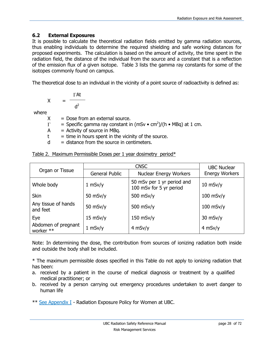#### <span id="page-27-0"></span>**6.2 External Exposures**

It is possible to calculate the theoretical radiation fields emitted by gamma radiation sources, thus enabling individuals to determine the required shielding and safe working distances for proposed experiments. The calculation is based on the amount of activity, the time spent in the radiation field, the distance of the individual from the source and a constant that is a reflection of the emission flux of a given isotope. Table 3 lists the gamma ray constants for some of the isotopes commonly found on campus.

The theoretical dose to an individual in the vicinity of a point source of radioactivity is defined as:

$$
X = \frac{\Gamma At}{d^2}
$$

where

- $X =$  Dose from an external source.
- = Specific gamma ray constant in (mSv  $\bullet$  cm<sup>2</sup>)/(h  $\bullet$  MBq) at 1 cm.  $\Gamma$
- $A =$  Activity of source in MBq.
- $t =$  time in hours spent in the vicinity of the source.
- $d =$  distance from the source in centimeters.

Table 2. Maximum Permissible Doses per 1 year dosimetry period\*

|                                  |                       | <b>UBC Nuclear</b>                                    |                       |  |
|----------------------------------|-----------------------|-------------------------------------------------------|-----------------------|--|
| Organ or Tissue                  | <b>General Public</b> | <b>Nuclear Energy Workers</b>                         | <b>Energy Workers</b> |  |
| Whole body                       | $1$ mSv/y             | 50 mSv per 1 yr period and<br>100 mSv for 5 yr period | $10$ mSv/y            |  |
| <b>Skin</b>                      | 50 $msv/y$            | 500 $msv/y$                                           | $100$ mSv/y           |  |
| Any tissue of hands<br>and feet  | $50$ mSv/y            | 500 $msv/v$                                           | $100$ mSv/y           |  |
| Eye                              | $15$ mSv/y            | $150$ mSv/y                                           | $30$ mSv/y            |  |
| Abdomen of pregnant<br>worker ** | $1$ mSv/y             | $4$ mSv/y                                             | $4$ mSv/y             |  |

Note: In determining the dose, the contribution from sources of ionizing radiation both inside and outside the body shall be included.

\* The maximum permissible doses specified in this Table do not apply to ionizing radiation that has been:

- a. received by a patient in the course of medical diagnosis or treatment by a qualified medical practitioner; or
- b. received by a person carrying out emergency procedures undertaken to avert danger to human life

\*\* [See Appendix I](#page-52-0) - Radiation Exposure Policy for Women at UBC.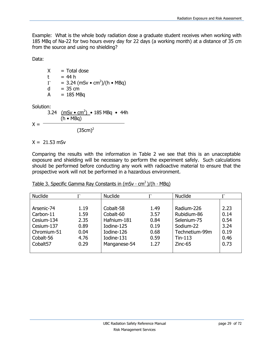Example: What is the whole body radiation dose a graduate student receives when working with 185 MBq of Na-22 for two hours every day for 22 days (a working month) at a distance of 35 cm from the source and using no shielding?

Data:

 $X = \text{Total dose}$  $t = 44 h$  $= 3.24$  (mSv • cm<sup>2</sup>)/(h • MBq)  $\Gamma$  $d = 35$  cm  $A = 185 \text{ MBq}$ 

Solution:

3.24 <u>(mSv • cm<sup>2</sup>)</u> • 185 MBq • 44h  $(h \cdot MBq)$  $X = (35cm)^2$ 

 $X = 21.53$  mSv

Comparing the results with the information in Table 2 we see that this is an unacceptable exposure and shielding will be necessary to perform the experiment safely. Such calculations should be performed before conducting any work with radioactive material to ensure that the prospective work will not be performed in a hazardous environment.

| <b>Nuclide</b> |      | <b>Nuclide</b> | Г    | <b>Nuclide</b> |      |
|----------------|------|----------------|------|----------------|------|
|                |      |                |      |                |      |
| Arsenic-74     | 1.19 | Cobalt-58      | 1.49 | Radium-226     | 2.23 |
| Carbon-11      | 1.59 | Cobalt-60      | 3.57 | Rubidium-86    | 0.14 |
| Cesium-134     | 2.35 | Hafnium-181    | 0.84 | Selenium-75    | 0.54 |
| Cesium-137     | 0.89 | Iodine-125     | 0.19 | Sodium-22      | 3.24 |
| Chromium-51    | 0.04 | Iodine-126     | 0.68 | Technetium-99m | 0.19 |
| Cobalt-56      | 4.76 | Iodine-131     | 0.59 | $T$ in-113     | 0.46 |
| Cobalt57       | 0.29 | Manganese-54   | 1.27 | $Zinc-65$      | 0.73 |
|                |      |                |      |                |      |

#### Table 3. Specific Gamma Ray Constants in (mSv ⋅ cm<sup>2</sup>)/(h ⋅ MBq)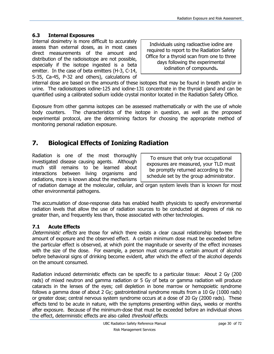# <span id="page-29-0"></span>**6.3 Internal Exposures**

Internal dosimetry is more difficult to accurately assess than external doses, as in most cases direct measurements of the amount and distribution of the radioisotope are not possible, especially if the isotope ingested is a beta emitter. In the case of beta emitters (H-3, C-14, S-35, Ca-45, P-32 and others), calculations of

Individuals using radioactive iodine are required to report to the Radiation Safety Office for a thyroid scan from one to three days following the experimental iodination of compounds**.**

internal dose are based on the amounts of these isotopes that may be found in breath and/or in urine. The radioisotopes iodine-125 and iodine-131 concentrate in the thyroid gland and can be quantified using a calibrated sodium iodide crystal monitor located in the Radiation Safety Office.

Exposure from other gamma isotopes can be assessed mathematically or with the use of whole body counters. The characteristics of the isotope in question, as well as the proposed experimental protocol, are the determining factors for choosing the appropriate method of monitoring personal radiation exposure.

# <span id="page-29-1"></span>**7. Biological Effects of Ionizing Radiation**

Radiation is one of the most thoroughly investigated disease causing agents. Although much still remains to be learned about interactions between living organisms and radiations, more is known about the mechanisms

To ensure that only true occupational exposures are measured, your TLD must be promptly returned according to the schedule set by the group administrator.

of radiation damage at the molecular, cellular, and organ system levels than is known for most other environmental pathogens.

The accumulation of dose-response data has enabled health physicists to specify environmental radiation levels that allow the use of radiation sources to be conducted at degrees of risk no greater than, and frequently less than, those associated with other technologies.

# <span id="page-29-2"></span>**7.1 Acute Effects**

Deterministic effects are those for which there exists a clear causal relationship between the amount of exposure and the observed effect. A certain minimum dose must be exceeded before the particular effect is observed, at which point the magnitude or severity of the effect increases with the size of the dose. For example, a person must consume a certain amount of alcohol before behavioral signs of drinking become evident, after which the effect of the alcohol depends on the amount consumed.

Radiation induced deterministic effects can be specific to a particular tissue: About 2 Gy (200 rads) of mixed neutron and gamma radiation or 5 Gy of beta or gamma radiation will produce cataracts in the lenses of the eyes; cell depletion in bone marrow or hemopoietic syndrome follows a gamma dose of about 2 Gy; gastrointestinal syndrome results from a 10 Gy (1000 rads) or greater dose; central nervous system syndrome occurs at a dose of 20 Gy (2000 rads). These effects tend to be acute in nature, with the symptoms presenting within days, weeks or months after exposure. Because of the minimum-dose that must be exceeded before an individual shows the effect, deterministic effects are also called *threshold effects*.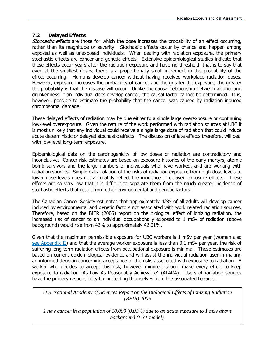#### **7.2 Delayed Effects**

Stochastic effects are those for which the dose increases the probability of an effect occurring, rather than its magnitude or severity. Stochastic effects occur by chance and happen among exposed as well as unexposed individuals. When dealing with radiation exposure, the primary stochastic effects are cancer and genetic effects. Extensive epidemiological studies indicate that these effects occur years after the radiation exposure and have no threshold; that is to say that even at the smallest doses, there is a proportionally small increment in the probability of the effect occurring. Humans develop cancer without having received workplace radiation doses. However, exposure increases the probability of cancer and the greater the exposure, the greater the probability is that the disease will occur. Unlike the causal relationship between alcohol and drunkenness, if an individual does develop cancer, the causal factor cannot be determined. It is, however, possible to estimate the probability that the cancer was caused by radiation induced chromosomal damage.

These delayed effects of radiation may be due either to a single large overexposure or continuing low-level overexposure. Given the nature of the work performed with radiation sources at UBC it is most unlikely that any individual could receive a single large dose of radiation that could induce acute deterministic or delayed stochastic effects. The discussion of late effects therefore, will deal with low-level long-term exposure.

Epidemiological data on the carcinogenicity of low doses of radiation are contradictory and inconclusive. Cancer risk estimates are based on exposure histories of the early martyrs, atomic bomb survivors and the large numbers of individuals who have worked, and are working with radiation sources. Simple extrapolation of the risks of radiation exposure from high dose levels to lower dose levels does not accurately reflect the incidence of delayed exposure effects. These effects are so very low that it is difficult to separate them from the much greater incidence of stochastic effects that result from other environmental and genetic factors.

The Canadian Cancer Society estimates that approximately 42% of all adults will develop cancer induced by environmental and genetic factors not associated with work related radiation sources. Therefore, based on the BIER (2006) report on the biological effect of ionizing radiation, the increased risk of cancer to an individual occupationally exposed to 1 mSv of radiation (above background) would rise from 42% to approximately 42.01%.

Given that the maximum permissible exposure for UBC workers is 1 mSv per year (women also [see Appendix II\)](#page-53-0) and that the average worker exposure is less than 0.1 mSv per year, the risk of suffering long term radiation effects from occupational exposure is minimal. These estimates are based on current epidemiological evidence and will assist the individual radiation user in making an informed decision concerning acceptance of the risks associated with exposure to radiation. A worker who decides to accept this risk, however minimal, should make every effort to keep exposure to radiation "As Low As Reasonably Achievable" (ALARA). Users of radiation sources have the primary responsibility for protecting themselves from the associated hazards.

*U.S. National Academy of Sciences Report on the Biological Effects of Ionizing Radiation (BEIR) 2006*

*1 new cancer in a population of 10,000 (0.01%) due to an acute exposure to 1 mSv above background (LNT model).*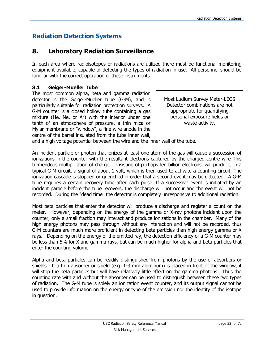# **Radiation Detection Systems**

# **8. Laboratory Radiation Surveillance**

In each area where radioisotopes or radiations are utilized there must be functional monitoring equipment available, capable of detecting the types of radiation in use. All personnel should be familiar with the correct operation of these instruments.

#### <span id="page-31-0"></span>**8.1 Geiger-Mueller Tube**

The most common alpha, beta and gamma radiation detector is the Geiger-Mueller tube (G-M), and is particularly suitable for radiation protection surveys. A G-M counter is a closed hollow tube containing a gas mixture (He, Ne, or Ar) with the interior under one tenth of an atmosphere of pressure, a thin mica or Mylar membrane or "window", a fine wire anode in the centre of the barrel insulated from the tube inner wall,

Most Ludlum Survey Meter-LEGS Detector combinations are not appropriate for quantifying personal exposure fields or waste activity.

and a high voltage potential between the wire and the inner wall of the tube.

An incident particle or photon that ionizes at least one atom of the gas will cause a succession of ionizations in the counter with the resultant electrons captured by the charged centre wire This tremendous multiplication of charge, consisting of perhaps ten billion electrons, will produce, in a typical G-M circuit, a signal of about 1 volt, which is then used to activate a counting circuit. The ionization cascade is stopped or quenched in order that a second event may be detected. A G-M tube requires a certain recovery time after each pulse. If a successive event is initiated by an incident particle before the tube recovers, the discharge will not occur and the event will not be recorded. During the "dead time" the detector is completely unresponsive to additional radiation.

Most beta particles that enter the detector will produce a discharge and register a count on the meter. However, depending on the energy of the gamma or X-ray photons incident upon the counter, only a small fraction may interact and produce ionizations in the chamber. Many of the high energy photons may pass through without any interaction and will not be recorded, thus G-M counters are much more proficient in detecting beta particles than high energy gamma or X rays. Depending on the energy of the emitted ray, the detection efficiency of a G-M counter may be less than 5% for X and gamma rays, but can be much higher for alpha and beta particles that enter the counting volume.

Alpha and beta particles can be readily distinguished from photons by the use of absorbers or shields. If a thin absorber or shield (e.g. 1-3 mm aluminum) is placed in front of the window, it will stop the beta particles but will have relatively little effect on the gamma photons. Thus the counting rate with and without the absorber can be used to distinguish between these two types of radiation. The G-M tube is solely an ionization event counter, and its output signal cannot be used to provide information on the energy or type of the emission nor the identity of the isotope in question.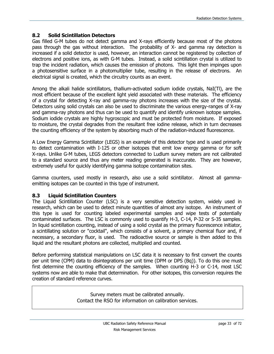#### <span id="page-32-0"></span>**8.2 Solid Scintillation Detectors**

Gas filled G-M tubes do not detect gamma and X-rays efficiently because most of the photons pass through the gas without interaction. The probability of X- and gamma ray detection is increased if a solid detector is used, however, an interaction cannot be registered by collection of electrons and positive ions, as with G-M tubes. Instead, a solid scintillation crystal is utilized to trap the incident radiation, which causes the emission of photons. This light then impinges upon a photosensitive surface in a photomultiplier tube, resulting in the release of electrons. An electrical signal is created, which the circuitry counts as an event.

Among the alkali halide scintillators, thallium-activated sodium iodide crystals, NaI(Tl), are the most efficient because of the excellent light yield associated with these materials. The efficiency of a crystal for detecting X-ray and gamma-ray photons increases with the size of the crystal. Detectors using solid crystals can also be used to discriminate the various energy-ranges of X-ray and gamma-ray photons and thus can be used to quantify and identify unknown isotope samples. Sodium iodide crystals are highly hygroscopic and must be protected from moisture. If exposed to moisture, the crystal degrades from the resultant free iodine release, which in turn decreases the counting efficiency of the system by absorbing much of the radiation-induced fluorescence.

A Low Energy Gamma Scintillator (LEGS) is an example of this detector type and is used primarily to detect contamination with I-125 or other isotopes that emit low energy gamma or for soft X-rays. Unlike G-M tubes, LEGS detectors connected to Ludlum survey meters are not calibrated to a standard source and thus any meter reading generated is inaccurate. They are however, extremely useful for quickly identifying gamma isotope contamination sites.

Gamma counters, used mostly in research, also use a solid scintillator. Almost all gammaemitting isotopes can be counted in this type of instrument.

#### <span id="page-32-1"></span>**8.3 Liquid Scintillation Counters**

The Liquid Scintillation Counter (LSC) is a very sensitive detection system, widely used in research, which can be used to detect minute quantities of almost any isotope. An instrument of this type is used for counting labeled experimental samples and wipe tests of potentially contaminated surfaces. The LSC is commonly used to quantify H-3, C-14, P-32 or S-35 samples. In liquid scintillation counting, instead of using a solid crystal as the primary fluorescence initiator, a scintillating solution or "cocktail", which consists of a solvent, a primary chemical fluor and, if necessary, a secondary fluor, is used. The radioactive source or sample is then added to this liquid and the resultant photons are collected, multiplied and counted.

Before performing statistical manipulations on LSC data it is necessary to first convert the counts per unit time (CPM) data to disintegrations per unit time (DPM or DPS (Bq)). To do this one must first determine the counting efficiency of the samples. When counting H-3 or C-14, most LSC systems now are able to make that determination. For other isotopes, this conversion requires the creation of standard reference curves.

> Survey meters must be calibrated annually. Contact the RSO for information on calibration services.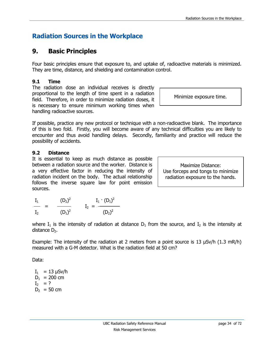# **Radiation Sources in the Workplace**

# <span id="page-33-0"></span>**9. Basic Principles**

Four basic principles ensure that exposure to, and uptake of, radioactive materials is minimized. They are time, distance, and shielding and contamination control.

# <span id="page-33-1"></span>**9.1 Time**

The radiation dose an individual receives is directly proportional to the length of time spent in a radiation field. Therefore, in order to minimize radiation doses, it is necessary to ensure minimum working times when handling radioactive sources.

If possible, practice any new protocol or technique with a non-radioactive blank. The importance of this is two fold. Firstly, you will become aware of any technical difficulties you are likely to encounter and thus avoid handling delays. Secondly, familiarity and practice will reduce the possibility of accidents.

# <span id="page-33-2"></span>**9.2 Distance**

It is essential to keep as much distance as possible between a radiation source and the worker. Distance is a very effective factor in reducing the intensity of radiation incident on the body. The actual relationship follows the inverse square law for point emission sources.

Maximize Distance: Use forceps and tongs to minimize radiation exposure to the hands.

| $I_1$          | $(D_2)^2$ | $I_1 \cdot (D_1)^2$    |
|----------------|-----------|------------------------|
| I <sub>2</sub> | $(D_1)^2$ | $I_2 = -$<br>$(D_2)^2$ |

where  $I_1$  is the intensity of radiation at distance  $D_1$  from the source, and  $I_2$  is the intensity at distance  $D<sub>2</sub>$ .

Example: The intensity of the radiation at 2 meters from a point source is 13  $\mu$ Sv/h (1.3 mR/h) measured with a G-M detector. What is the radiation field at 50 cm?

Data:

 $I_1 = 13 \mu Sv/h$  $D_1$  = 200 cm  $I_2 = ?$  $D_2 = 50$  cm

Minimize exposure time.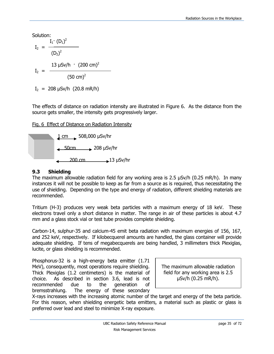Solution:

$$
I_2 = \frac{I_1 \cdot (D_1)^2}{(D_2)^2}
$$
  

$$
I_2 = \frac{13 \text{ }\mu\text{Sv/h} \cdot (200 \text{ cm})^2}{(50 \text{ cm})^2}
$$

 $I_2$  = 208  $\mu$ Sv/h (20.8 mR/h)

The effects of distance on radiation intensity are illustrated in Figure 6. As the distance from the source gets smaller, the intensity gets progressively larger.

Fig. 6 Effect of Distance on Radiation Intensity



# <span id="page-34-0"></span>**9.3 Shielding**

The maximum allowable radiation field for any working area is 2.5 µSv/h (0.25 mR/h). In many instances it will not be possible to keep as far from a source as is required, thus necessitating the use of shielding. Depending on the type and energy of radiation, different shielding materials are recommended.

Tritium (H-3) produces very weak beta particles with a maximum energy of 18 keV. These electrons travel only a short distance in matter. The range in air of these particles is about 4.7 mm and a glass stock vial or test tube provides complete shielding.

Carbon-14, sulphur-35 and calcium-45 emit beta radiation with maximum energies of 156, 167, and 252 keV, respectively. If kilobecquerel amounts are handled, the glass container will provide adequate shielding. If tens of megabecquerels are being handled, 3 millimeters thick Plexiglas, lucite, or glass shielding is recommended.

Phosphorus-32 is a high-energy beta emitter (1.71 MeV), consequently, most operations require shielding. Thick Plexiglas (1.2 centimeters) is the material of choice. As described in section 3.6, lead is not recommended due to the generation of bremsstrahlung. The energy of these secondary

The maximum allowable radiation field for any working area is 2.5 µSv/h (0.25 mR/h).

X-rays increases with the increasing atomic number of the target and energy of the beta particle. For this reason, when shielding energetic beta emitters, a material such as plastic or glass is preferred over lead and steel to minimize X-ray exposure.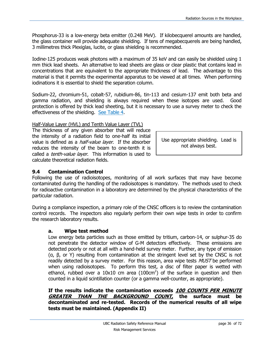Phosphorus-33 is a low-energy beta emitter (0.248 MeV). If kilobecquerel amounts are handled, the glass container will provide adequate shielding. If tens of megabecquerels are being handled, 3 millimetres thick Plexiglas, lucite, or glass shielding is recommended.

Iodine-125 produces weak photons with a maximum of 35 keV and can easily be shielded using 1 mm thick lead sheets. An alternative to lead sheets are glass or clear plastic that contains lead in concentrations that are equivalent to the appropriate thickness of lead. The advantage to this material is that it permits the experimental apparatus to be viewed at all times. When performing iodinations it is essential to shield the separation column.

Sodium-22, chromium-51, cobalt-57, rubidium-86, tin-113 and cesium-137 emit both beta and gamma radiation, and shielding is always required when these isotopes are used. Good protection is offered by thick lead sheeting, but it is necessary to use a survey meter to check the effectiveness of the shielding. [See Table 4.](#page-36-0)

#### Half-Value Layer (HVL) and Tenth Value Layer (TVL)

The thickness of any given absorber that will reduce the intensity of a radiation field to one-half its initial value is defined as a *half-value layer*. If the absorber reduces the intensity of the beam to one-tenth it is called a *tenth-value layer*. This information is used to calculate theoretical radiation fields.

#### <span id="page-35-0"></span>**9.4 Contamination Control**

Following the use of radioisotopes, monitoring of all work surfaces that may have become contaminated during the handling of the radioisotopes is mandatory. The methods used to check for radioactive contamination in a laboratory are determined by the physical characteristics of the particular radiation.

During a compliance inspection, a primary role of the CNSC officers is to review the contamination control records. The inspectors also regularly perform their own wipe tests in order to confirm the research laboratory results.

#### **a. Wipe test method**

Low energy beta particles such as those emitted by tritium, carbon-14, or sulphur-35 do not penetrate the detector window of G-M detectors effectively. These emissions are detected poorly or not at all with a hand-held survey meter. Further, any type of emission (α, β, or Υ) resulting from contamination at the stringent level set by the CNSC is not readily detected by a survey meter. For this reason, area wipe tests *MUST* be performed when using radioisotopes. To perform this test, a disc of filter paper is wetted with ethanol, rubbed over a 10x10 cm area  $(100 \text{cm}^2)$  of the surface in question and then counted in a liquid scintillation counter (or a gamma well-counter, as appropriate).

**If the results indicate the contamination exceeds 100 COUNTS PER MINUTE GREATER THAN THE BACKGROUND COUNT, the surface must be decontaminated and re-tested. Records of the numerical results of all wipe tests must be maintained. (Appendix II)**

Use appropriate shielding. Lead is not always best.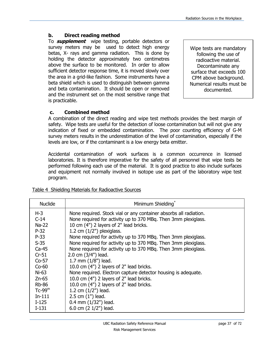#### **b. Direct reading method**

To **supplement** wipe testing, portable detectors or survey meters may be used to detect high energy betas, X- rays and gamma radiation. This is done by holding the detector approximately two centimetres above the surface to be monitored. In order to allow sufficient detector response time, it is moved slowly over the area in a grid-like fashion. Some instruments have a beta shield which is used to distinguish between gamma and beta contamination. It should be open or removed and the instrument set on the most sensitive range that is practicable.

Wipe tests are mandatory following the use of radioactive material. Decontaminate any surface that exceeds 100 CPM above background. Numerical results must be documented.

#### **c. Combined method**

A combination of the direct reading and wipe test methods provides the best margin of safety. Wipe tests are useful for the detection of loose contamination but will not give any indication of fixed or embedded contamination. The poor counting efficiency of G-M survey meters results in the underestimation of the level of contamination, especially if the levels are low, or if the contaminant is a low energy beta emitter.

Accidental contamination of work surfaces is a common occurrence in licensed laboratories. It is therefore imperative for the safety of all personnel that wipe tests be performed following each use of the material. It is good practice to also include surfaces and equipment not normally involved in isotope use as part of the laboratory wipe test program.

| <b>Nuclide</b> | Minimum Shielding*                                                |
|----------------|-------------------------------------------------------------------|
| $H-3$          | None required. Stock vial or any container absorbs all radiation. |
| $C-14$         | None required for activity up to 370 MBq. Then 3mm plexiglass.    |
| Na-22          | 10 cm (4") 2 layers of 2" lead bricks.                            |
| $P-32$         | 1.2 cm $(1/2")$ plexiglass.                                       |
| $P-33$         | None required for activity up to 370 MBq. Then 3mm plexiglass.    |
| $S-35$         | None required for activity up to 370 MBq. Then 3mm plexiglass.    |
| $Ca-45$        | None required for activity up to 370 MBq. Then 3mm plexiglass.    |
| $Cr-51$        | 2.0 cm $(3/4")$ lead.                                             |
| $Co-57$        | 1.7 mm $(1/8")$ lead.                                             |
| $Co-60$        | 10.0 cm (4") 2 layers of 2" lead bricks.                          |
| $Ni-63$        | None required. Electron capture detector housing is adequate.     |
| $Zn-65$        | 10.0 cm (4") 2 layers of 2" lead bricks.                          |
| <b>Rb-86</b>   | 10.0 cm (4") 2 layers of 2" lead bricks.                          |
| $Tc-99m$       | 1.2 cm $(1/2")$ lead.                                             |
| $In-111$       | 2.5 cm (1") lead.                                                 |
| $I-125$        | $0.4$ mm $(1/32")$ lead.                                          |
| $I-131$        | 6.0 cm (2 1/2") lead.                                             |

#### Table 4 Shielding Materials for Radioactive Sources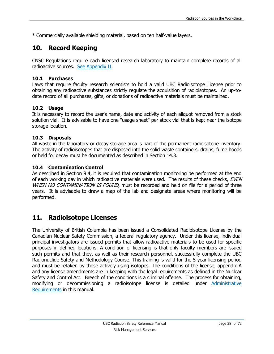\* Commercially available shielding material, based on ten half-value layers.

## **10. Record Keeping**

CNSC Regulations require each licensed research laboratory to maintain complete records of all radioactive sources. [See Appendix II.](#page-53-0)

#### **10.1 Purchases**

Laws that require faculty research scientists to hold a valid UBC Radioisotope License prior to obtaining any radioactive substances strictly regulate the acquisition of radioisotopes. An up-todate record of all purchases, gifts, or donations of radioactive materials must be maintained.

#### **10.2 Usage**

It is necessary to record the user's name, date and activity of each aliquot removed from a stock solution vial. It is advisable to have one "usage sheet" per stock vial that is kept near the isotope storage location.

#### **10.3 Disposals**

All waste in the laboratory or decay storage area is part of the permanent radioisotope inventory. The activity of radioisotopes that are disposed into the solid waste containers, drains, fume hoods or held for decay must be documented as described in Section 14.3.

#### **10.4 Contamination Control**

As described in Section 9.4, it is required that contamination monitoring be performed at the end of each working day in which radioactive materials were used. The results of these checks, EVEN WHEN NO CONTAMINATION IS FOUND, must be recorded and held on file for a period of three years. It is advisable to draw a map of the lab and designate areas where monitoring will be performed.

## **11. Radioisotope Licenses**

The University of British Columbia has been issued a Consolidated Radioisotope License by the Canadian Nuclear Safety Commission, a federal regulatory agency. Under this license, individual principal investigators are issued permits that allow radioactive materials to be used for specific purposes in defined locations. A condition of licensing is that only faculty members are issued such permits and that they, as well as their research personnel, successfully complete the UBC Radionuclide Safety and Methodology Course. This training is valid for the 5 year licensing period and must be retaken by those actively using isotopes. The conditions of the license, appendix A and any license amendments are in keeping with the legal requirements as defined in the Nuclear Safety and Control Act. Breech of the conditions is a criminal offense. The process for obtaining, modifying or decommissioning a radioisotope license is detailed under [Administrative](#page-12-0)  [Requirements](#page-12-0) in this manual.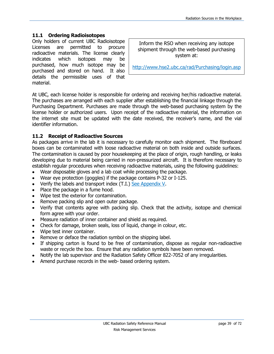#### **11.1 Ordering Radioisotopes**

Only holders of current UBC Radioisotope Licenses are permitted to procure radioactive materials. The license clearly indicates which isotopes may be purchased, how much isotope may be purchased and stored on hand. It also details the permissible uses of that material.

Inform the RSO when receiving any isotope shipment through the web-based purchasing system at:

<http://www.hse2.ubc.ca/rad/Purchasing/login.asp>

At UBC, each license holder is responsible for ordering and receiving her/his radioactive material. The purchases are arranged with each supplier after establishing the financial linkage through the Purchasing Department. Purchases are made through the web-based purchasing system by the license holder or authorized users. Upon receipt of the radioactive material, the information on the internet site must be updated with the date received, the receiver's name, and the vial identifier information.

#### **11.2 Receipt of Radioactive Sources**

As packages arrive in the lab it is necessary to carefully monitor each shipment. The fibreboard boxes can be contaminated with loose radioactive material on both inside and outside surfaces. The contamination is caused by poor housekeeping at the place of origin, rough handling, or leaks developing due to material being carried in non-pressurized aircraft. It is therefore necessary to establish regular procedures when receiving radioactive materials, using the following guidelines:

- Wear disposable gloves and a lab coat while processing the package.
- Wear eye protection (goggles) if the package contains P-32 or I-125.
- Verify the labels and transport index (T.I.) [See Appendix V.](#page-64-0)
- Place the package in a fume hood.
- Wipe test the exterior for contamination.
- Remove packing slip and open outer package.  $\bullet$
- Verify that contents agree with packing slip. Check that the activity, isotope and chemical  $\bullet$ form agree with your order.
- Measure radiation of inner container and shield as required.  $\bullet$
- Check for damage, broken seals, loss of liquid, change in colour, etc.
- Wipe test inner container.  $\bullet$
- Remove or deface the radiation symbol on the shipping label.
- If shipping carton is found to be free of contamination, dispose as regular non-radioactive  $\bullet$ waste or recycle the box. Ensure that any radiation symbols have been removed.
- Notify the lab supervisor and the Radiation Safety Officer 822-7052 of any irregularities.  $\bullet$
- Amend purchase records in the web- based ordering system.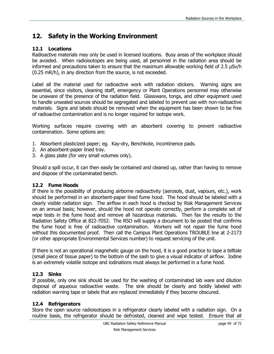# **12. Safety in the Working Environment**

#### **12.1 Locations**

Radioactive materials may only be used in licensed locations. Busy areas of the workplace should be avoided. When radioisotopes are being used, all personnel in the radiation area should be informed and precautions taken to ensure that the maximum allowable working field of 2.5 µSv/h (0.25 mR/h), in any direction from the source, is not exceeded.

Label all the material used for radioactive work with radiation stickers. Warning signs are essential, since visitors, cleaning staff, emergency or Plant Operations personnel may otherwise be unaware of the presence of the radiation field. Glassware, tongs, and other equipment used to handle unsealed sources should be segregated and labeled to prevent use with non-radioactive materials. Signs and labels should be removed when the equipment has been shown to be free of radioactive contamination and is no longer required for isotope work.

Working surfaces require covering with an absorbent covering to prevent radioactive contamination. Some options are:

- 1. Absorbent plasticized paper; eg. Kay-dry, Benchkote, incontinence pads.
- 2. An absorbent-paper lined tray.
- 3. A glass plate (for very small volumes only).

Should a spill occur, it can then easily be contained and cleaned up, rather than having to remove and dispose of the contaminated bench.

#### **12.2 Fume Hoods**

If there is the possibility of producing airborne radioactivity (aerosols, dust, vapours, etc.), work should be performed in an absorbent-paper lined fume hood. The hood should be labeled with a clearly visible radiation sign. The airflow in each hood is checked by Risk Management Services on an annual basis; however, should the hood not operate correctly, perform a complete set of wipe tests in the fume hood and remove all hazardous materials. Then fax the results to the Radiation Safety Office at 822-7052. The RSO will supply a document to be posted that confirms the fume hood is free of radioactive contamination. Workers will not repair the fume hood without this documented proof. Then call the Campus Plant Operations TROUBLE line at 2-2173 (or other appropriate Environmental Services number) to request servicing of the unit.

If there is not an operational magnehelic gauge on the hood, it is a good practice to tape a telltale (small piece of tissue paper) to the bottom of the sash to give a visual indicator of airflow. Iodine is an extremely volatile isotope and iodinations must always be performed in a fume hood.

#### **12.3 Sinks**

If possible, only one sink should be used for the washing of contaminated lab ware and dilution disposal of aqueous radioactive waste. The sink should be clearly and boldly labeled with radiation warning tape or labels that are replaced immediately if they become obscured.

#### **12.4 Refrigerators**

Store the open source radioisotopes in a refrigerator clearly labeled with a radiation sign. On a routine basis, the refrigerator should be defrosted, cleaned and wipe tested. Ensure that all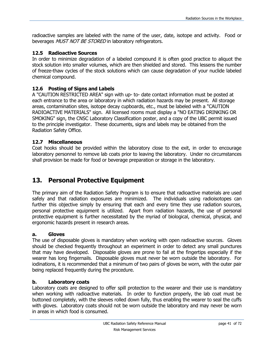radioactive samples are labeled with the name of the user, date, isotope and activity. Food or beverages MUST NOT BE STORED in laboratory refrigerators.

#### **12.5 Radioactive Sources**

In order to minimize degradation of a labeled compound it is often good practice to aliquot the stock solution into smaller volumes, which are then shielded and stored. This lessens the number of freeze-thaw cycles of the stock solutions which can cause degradation of your nuclide labeled chemical compound.

#### **12.6 Posting of Signs and Labels**

A "CAUTION RESTRICTED AREA" sign with up- to- date contact information must be posted at each entrance to the area or laboratory in which radiation hazards may be present. All storage areas, contamination sites, isotope decay cupboards, etc., must be labeled with a "CAUTION RADIOACTIVE MATERIALS" sign. All licensed rooms must display a "NO EATING DRINKING OR SMOKING" sign, the CNSC Laboratory Classification poster, and a copy of the UBC permit issued to the principle investigator. These documents, signs and labels may be obtained from the Radiation Safety Office.

#### **12.7 Miscellaneous**

Coat hooks should be provided within the laboratory close to the exit, in order to encourage laboratory personnel to remove lab coats prior to leaving the laboratory. Under no circumstances shall provision be made for food or beverage preparation or storage in the laboratory.

# **13. Personal Protective Equipment**

The primary aim of the Radiation Safety Program is to ensure that radioactive materials are used safely and that radiation exposures are minimized. The individuals using radioisotopes can further this objective simply by ensuring that each and every time they use radiation sources, personal protective equipment is utilized. Apart from radiation hazards, the use of personal protective equipment is further necessitated by the myriad of biological, chemical, physical, and ergonomic hazards present in research areas.

#### **a. Gloves**

The use of disposable gloves is mandatory when working with open radioactive sources. Gloves should be checked frequently throughout an experiment in order to detect any small punctures that may have developed. Disposable gloves are prone to fail at the fingertips especially if the wearer has long fingernails. Disposable gloves must never be worn outside the laboratory. For iodinations, it is recommended that a minimum of two pairs of gloves be worn, with the outer pair being replaced frequently during the procedure.

#### **b. Laboratory coats**

Laboratory coats are designed to offer spill protection to the wearer and their use is mandatory when working with radioactive materials. In order to function properly, the lab coat must be buttoned completely, with the sleeves rolled down fully, thus enabling the wearer to seal the cuffs with gloves. Laboratory coats should not be worn outside the laboratory and may never be worn in areas in which food is consumed.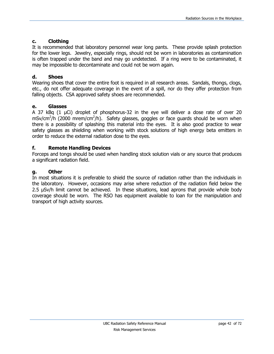#### **c. Clothing**

It is recommended that laboratory personnel wear long pants. These provide splash protection for the lower legs. Jewelry, especially rings, should not be worn in laboratories as contamination is often trapped under the band and may go undetected. If a ring were to be contaminated, it may be impossible to decontaminate and could not be worn again.

#### **d. Shoes**

Wearing shoes that cover the entire foot is required in all research areas. Sandals, thongs, clogs, etc., do not offer adequate coverage in the event of a spill, nor do they offer protection from falling objects. CSA approved safety shoes are recommended.

#### **e. Glasses**

A 37 kBq (1 µCi) droplet of phosphorus-32 in the eye will deliver a dose rate of over 20 mSv/cm<sup>2</sup>/h (2000 mrem/cm<sup>2</sup>/h). Safety glasses, goggles or face guards should be worn when there is a possibility of splashing this material into the eyes. It is also good practice to wear safety glasses as shielding when working with stock solutions of high energy beta emitters in order to reduce the external radiation dose to the eyes.

#### **f. Remote Handling Devices**

Forceps and tongs should be used when handling stock solution vials or any source that produces a significant radiation field.

#### **g. Other**

In most situations it is preferable to shield the source of radiation rather than the individuals in the laboratory. However, occasions may arise where reduction of the radiation field below the 2.5 µSv/h limit cannot be achieved. In these situations, lead aprons that provide whole body coverage should be worn. The RSO has equipment available to loan for the manipulation and transport of high activity sources.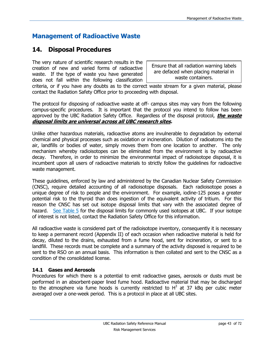# **Management of Radioactive Waste**

# **14. Disposal Procedures**

The very nature of scientific research results in the creation of new and varied forms of radioactive waste. If the type of waste you have generated does not fall within the following classification

Ensure that all radiation warning labels are defaced when placing material in waste containers.

criteria, or if you have any doubts as to the correct waste stream for a given material, please contact the Radiation Safety Office prior to proceeding with disposal.

The protocol for disposing of radioactive waste at off- campus sites may vary from the following campus-specific procedures. It is important that the protocol you intend to follow has been approved by the UBC Radiation Safety Office. Regardless of the disposal protocol, **the waste disposal limits are universal across all UBC research sites.**

Unlike other hazardous materials, radioactive atoms are invulnerable to degradation by external chemical and physical processes such as oxidation or incineration. Dilution of radioatoms into the air, landfills or bodies of water, simply moves them from one location to another. The only mechanism whereby radioisotopes can be eliminated from the environment is by radioactive decay. Therefore, in order to minimize the environmental impact of radioisotope disposal, it is incumbent upon all users of radioactive materials to strictly follow the guidelines for radioactive waste management.

These guidelines, enforced by law and administered by the Canadian Nuclear Safety Commission (CNSC), require detailed accounting of all radioisotope disposals. Each radioisotope poses a unique degree of risk to people and the environment. For example, iodine-125 poses a greater potential risk to the thyroid than does ingestion of the equivalent activity of tritium. For this reason the CNSC has set out isotope disposal limits that vary with the associated degree of hazard. [See Table 5](#page-46-0) for the disposal limits for commonly used isotopes at UBC. If your isotope of interest is not listed, contact the Radiation Safety Office for this information.

All radioactive waste is considered part of the radioisotope inventory, consequently it is necessary to keep a permanent record (Appendix II) of each occasion when radioactive material is held for decay, diluted to the drains, exhausted from a fume hood, sent for incineration, or sent to a landfill. These records must be complete and a summary of the activity disposed is required to be sent to the RSO on an annual basis. This information is then collated and sent to the CNSC as a condition of the consolidated license.

#### **14.1 Gases and Aerosols**

Procedures for which there is a potential to emit radioactive gases, aerosols or dusts must be performed in an absorbent-paper lined fume hood. Radioactive material that may be discharged to the atmosphere via fume hoods is currently restricted to  $H^3$  at 37 kBq per cubic meter averaged over a one-week period. This is a protocol in place at all UBC sites.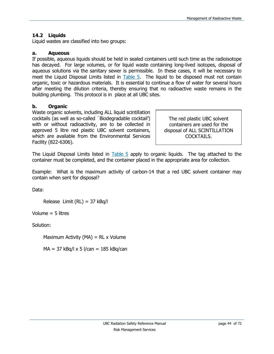#### **14.2 Liquids**

Liquid wastes are classified into two groups:

#### **a. Aqueous**

If possible, aqueous liquids should be held in sealed containers until such time as the radioisotope has decayed. For large volumes, or for liquid waste containing long-lived isotopes, disposal of aqueous solutions via the sanitary sewer is permissible. In these cases, it will be necessary to meet the Liquid Disposal Limits listed in [Table 5.](#page-46-0) The liquid to be disposed must not contain organic, toxic or hazardous materials. It is essential to continue a flow of water for several hours after meeting the dilution criteria, thereby ensuring that no radioactive waste remains in the building plumbing. This protocol is in place at all UBC sites.

#### **b. Organic**

Waste organic solvents, including ALL liquid scintillation cocktails (as well as so-called `Biodegradable cocktail') with or without radioactivity, are to be collected in approved 5 litre red plastic UBC solvent containers, which are available from the Environmental Services Facility (822-6306).

The red plastic UBC solvent containers are used for the disposal of ALL SCINTILLATION COCKTAILS.

The Liquid Disposal Limits listed in [Table 5](#page-46-0) apply to organic liquids. The tag attached to the container must be completed, and the container placed in the appropriate area for collection.

Example: What is the maximum activity of carbon-14 that a red UBC solvent container may contain when sent for disposal?

Data:

Release Limit (RL) = 37 kBq/l

Volume = 5 litres

Solution:

Maximum Activity ( $MA$ ) = RL x Volume

 $MA = 37$  kBq/l x 5 l/can = 185 kBq/can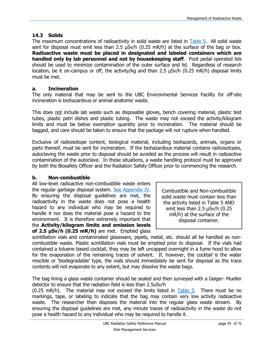#### **14.3 Solids**

The maximum concentrations of radioactivity in solid waste are listed in [Table 5.](#page-46-0) All solid waste sent for disposal must emit less than 2.5 µSv/h (0.25 mR/h) at the surface of the bag or box. **Radioactive waste must be placed in designated and labeled containers which are handled only by lab personnel and not by housekeeping staff**. Foot pedal operated lids should be used to minimize contamination of the outer surface and lid. Regardless of research location, be it on-campus or off, the activity/kg and than 2.5  $\mu$ Sv/h (0.25 mR/h) disposal limits must be met.

#### **a. Incineration**

The only material that may be sent to the UBC Environmental Services Facility for off-site incineration is biohazardous or animal anatomic waste.

This does not include lab waste such as disposable gloves, bench covering material, plastic test tubes, plastic petri dishes and plastic tubing. The waste may not exceed the activity/kilogram limits and must be below exemption quantity prior to incineration. The material should be bagged, and care should be taken to ensure that the package will not rupture when handled.

Exclusive of radioisotope content, biological material, including biohazards, animals, organs or parts thereof, must be sent for incineration. If the biohazardous material contains radioisotopes, autoclaving the waste prior to disposal should be avoided as the process will result in radioactive contamination of the autoclave. In these situations, a waste handling protocol must be approved by both the Biosafety Officer and the Radiation Safety Officer prior to commencing the research.

#### **b. Non-combustible**

All low-level radioactive non-combustible waste enters the regular garbage disposal system. [See Appendix IV.](#page-63-0) By ensuring the disposal guidelines are met, the radioactivity in the waste does not pose a health hazard to any individual who may be required to handle it nor does the material pose a hazard to the environment. It is therefore extremely important that the **Activity/kilogram limits and emission levels of 2.5 µSv/h (0.25 mR/h)** are met. Emptied glass

Combustible and Non-combustible solid waste must contain less than the activity listed in Table 5 AND emit less than 2.5 µSv/h (0.25 mR/h) at the surface of the disposal container.

scintillation vials and contaminated glassware, pipets, metal, etc. should all be handled as noncombustible waste. Plastic scintillation vials must be emptied prior to disposal. If the vials had contained a toluene based cocktail, they may be left uncapped overnight in a fume hood to allow for the evaporation of the remaining traces of solvent. If, however, the cocktail is the water miscible or 'biodegradable' type, the vials should immediately be sent for disposal as the trace contents will not evaporate to any extent, but may dissolve the waste bags.

The bag lining a glass waste container should be sealed and then surveyed with a Geiger- Mueller detector to ensure that the radiation field is less than 2.5uSv/h

(0.25 mR/h). The material may not exceed the limits listed in [Table 5.](#page-46-0) There must be no markings, tape, or labeling to indicate that the bag may contain very low activity radioactive waste. The researcher then disposes the material into the regular glass waste stream. By ensuring the disposal guidelines are met, any minute traces of radioactivity in the waste do not pose a health hazard to any individual who may be required to handle it.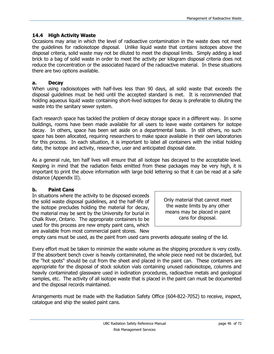#### **14.4 High Activity Waste**

Occasions may arise in which the level of radioactive contamination in the waste does not meet the guidelines for radioisotope disposal. Unlike liquid waste that contains isotopes above the disposal criteria, solid waste may not be diluted to meet the disposal limits. Simply adding a lead brick to a bag of solid waste in order to meet the activity per kilogram disposal criteria does not reduce the concentration or the associated hazard of the radioactive material. In these situations there are two options available.

#### **a. Decay**

When using radioisotopes with half-lives less than 90 days, all solid waste that exceeds the disposal guidelines must be held until the accepted standard is met. It is recommended that holding aqueous liquid waste containing short-lived isotopes for decay is preferable to diluting the waste into the sanitary sewer system.

Each research space has tackled the problem of decay storage space in a different way. In some buildings, rooms have been made available for all users to leave waste containers for isotope decay. In others, space has been set aside on a departmental basis. In still others, no such space has been allocated, requiring researchers to make space available in their own laboratories for this process. In each situation, it is important to label all containers with the initial holding date, the isotope and activity, researcher, user and anticipated disposal date.

As a general rule, ten half lives will ensure that all isotope has decayed to the acceptable level. Keeping in mind that the radiation fields emitted from these packages may be very high, it is important to print the above information with large bold lettering so that it can be read at a safe distance (Appendix II).

#### **b. Paint Cans**

In situations where the activity to be disposed exceeds the solid waste disposal guidelines, and the half-life of the isotope precludes holding the material for decay, the material may be sent by the University for burial in Chalk River, Ontario. The appropriate containers to be used for this process are new empty paint cans, which are available from most commercial paint stores. New

Only material that cannot meet the waste limits by any other means may be placed in paint cans for disposal.

empty cans must be used, as the paint from used cans prevents adequate sealing of the lid.

Every effort must be taken to minimize the waste volume as the shipping procedure is very costly. If the absorbent bench cover is heavily contaminated, the whole piece need not be discarded, but the "hot spots" should be cut from the sheet and placed in the paint can. These containers are appropriate for the disposal of stock solution vials containing unused radioisotope, columns and heavily contaminated glassware used in iodination procedures, radioactive metals and geological samples, etc. The activity of all isotope waste that is placed in the paint can must be documented and the disposal records maintained.

Arrangements must be made with the Radiation Safety Office (604-822-7052) to receive, inspect, catalogue and ship the sealed paint cans.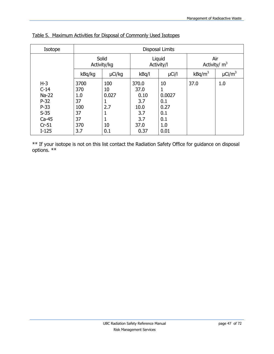| Isotope                                                                                   | <b>Disposal Limits</b>                                    |                                                  |                                                                    |                                                          |                       |                         |
|-------------------------------------------------------------------------------------------|-----------------------------------------------------------|--------------------------------------------------|--------------------------------------------------------------------|----------------------------------------------------------|-----------------------|-------------------------|
|                                                                                           | Solid<br>Activity/kg                                      |                                                  | Liquid<br>Activity/I                                               |                                                          | Air<br>Activity/ $m3$ |                         |
|                                                                                           | kBq/kg                                                    | µCi/kg                                           | kBq/l                                                              | $\mu$ Ci/l                                               | $kBq/m^3$             | $\mu$ Ci/m <sup>3</sup> |
| $H-3$<br>$C-14$<br>$Na-22$<br>$P-32$<br>$P-33$<br>$S-35$<br>$Ca-45$<br>$Cr-51$<br>$I-125$ | 3700<br>370<br>1.0<br>37<br>100<br>37<br>37<br>370<br>3.7 | 100<br>10<br>0.027<br>1<br>2.7<br>1<br>10<br>0.1 | 370.0<br>37.0<br>0.10<br>3.7<br>10.0<br>3.7<br>3.7<br>37.0<br>0.37 | 10<br>0.0027<br>0.1<br>0.27<br>0.1<br>0.1<br>1.0<br>0.01 | 37.0                  | 1.0                     |

<span id="page-46-0"></span>

|--|

\*\* If your isotope is not on this list contact the Radiation Safety Office for guidance on disposal options. \*\*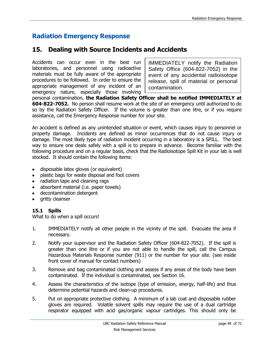# **Radiation Emergency Response**

# **15. Dealing with Source Incidents and Accidents**

Accidents can occur even in the best run laboratories, and personnel using radioactive materials must be fully aware of the appropriate procedures to be followed. In order to ensure the appropriate management of any incident of an emergency nature, especially those involving

IMMEDIATELY notify the Radiation Safety Office (604-822-7052) in the event of any accidental radioisotope release, spill of material or personal contamination.

personal contamination, **the Radiation Safety Officer shall be notified IMMEDIATELY at 604-822-7052.** No person shall resume work at the site of an emergency until authorized to do so by the Radiation Safety Officer. If the volume is greater than one litre, or if you require assistance, call the Emergency Response number for your site.

An accident is defined as any unintended situation or event, which causes injury to personnel or property damage. Incidents are defined as minor occurrences that do not cause injury or damage. The most likely type of radiation incident occurring in a laboratory is a SPILL. The best way to ensure one deals safely with a spill is to prepare in advance. Become familiar with the following procedure and on a regular basis, check that the Radioisotope Spill Kit in your lab is well stocked. It should contain the following items:

- disposable latex gloves (or equivalent)
- plastic bags for waste disposal and foot covers  $\bullet$
- radiation tape and cleaning rags
- absorbent material (i.e. paper towels)
- decontamination detergent
- gritty cleanser

#### **15.1 Spills**

What to do when a spill occurs!

- 1. IMMEDIATELY notify all other people in the vicinity of the spill. Evacuate the area if necessary.
- 2. Notify your supervisor and the Radiation Safety Officer (604-822-7052). If the spill is greater than one litre or if you are not able to handle the spill, call the Campus Hazardous Materials Response number (911) or the number for your site. (see inside front cover of manual for contact numbers)
- 3. Remove and bag contaminated clothing and assess if any areas of the body have been contaminated. If the individual is contaminated, see Section 16.
- 4. Assess the characteristics of the isotope (type of emission, energy, half-life) and thus determine potential hazards and clean-up procedures.
- 5. Put on appropriate protective clothing. A minimum of a lab coat and disposable rubber gloves are required. Volatile solvent spills may require the use of a dual cartridge respirator equipped with acid gas/organic vapour cartridges. This should only be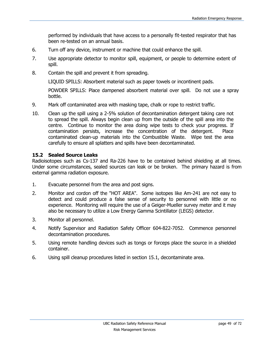performed by individuals that have access to a personally fit-tested respirator that has been re-tested on an annual basis.

- 6. Turn off any device, instrument or machine that could enhance the spill.
- 7. Use appropriate detector to monitor spill, equipment, or people to determine extent of spill.
- 8. Contain the spill and prevent it from spreading.

LIQUID SPILLS: Absorbent material such as paper towels or incontinent pads.

POWDER SPILLS: Place dampened absorbent material over spill. Do not use a spray bottle.

- 9. Mark off contaminated area with masking tape, chalk or rope to restrict traffic.
- 10. Clean up the spill using a 2-5% solution of decontamination detergent taking care not to spread the spill. Always begin clean up from the outside of the spill area into the centre. Continue to monitor the area doing wipe tests to check your progress. If contamination persists, increase the concentration of the detergent. Place contaminated clean-up materials into the Combustible Waste. Wipe test the area carefully to ensure all splatters and spills have been decontaminated.

#### **15.2 Sealed Source Leaks**

Radioisotopes such as Cs-137 and Ra-226 have to be contained behind shielding at all times. Under some circumstances, sealed sources can leak or be broken. The primary hazard is from external gamma radiation exposure.

- 1. Evacuate personnel from the area and post signs.
- 2. Monitor and cordon off the "HOT AREA". Some isotopes like Am-241 are not easy to detect and could produce a false sense of security to personnel with little or no experience. Monitoring will require the use of a Geiger-Mueller survey meter and it may also be necessary to utilize a Low Energy Gamma Scintillator (LEGS) detector.
- 3. Monitor all personnel.
- 4. Notify Supervisor and Radiation Safety Officer 604-822-7052. Commence personnel decontamination procedures.
- 5. Using remote handling devices such as tongs or forceps place the source in a shielded container.
- 6. Using spill cleanup procedures listed in section 15.1, decontaminate area.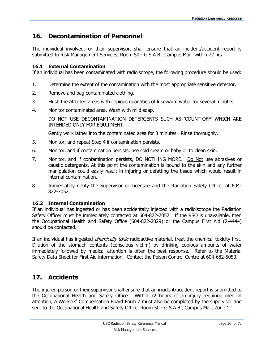# **16. Decontamination of Personnel**

The individual involved, or their supervisor, shall ensure that an incident/accident report is submitted to Risk Management Services, Room 50 - G.S.A.B., Campus Mail, within 72 hrs.

#### **16.1 External Contamination**

If an individual has been contaminated with radioisotope, the following procedure should be used:

- 1. Determine the extent of the contamination with the most appropriate sensitive detector.
- 2. Remove and bag contaminated clothing.
- 3. Flush the affected areas with copious quantities of lukewarm water for several minutes.
- 4. Monitor contaminated area. Wash with mild soap.

DO NOT USE DECONTAMINATION DETERGENTS SUCH AS 'COUNT-OFF' WHICH ARE INTENDED ONLY FOR EQUIPMENT.

Gently work lather into the contaminated area for 3 minutes. Rinse thoroughly.

- 5. Monitor, and repeat Step 4 if contamination persists.
- 6. Monitor, and if contamination persists, use cold cream or baby oil to clean skin.
- 7. Monitor, and if contamination persists, DO NOTHING MORE. Do Not use abrasives or caustic detergents. At this point the contamination is bound to the skin and any further manipulation could easily result in injuring or defatting the tissue which would result in internal contamination.
- 8. Immediately notify the Supervisor or Licensee and the Radiation Safety Officer at 604- 822-7052.

#### **16.2 Internal Contamination**

If an individual has ingested or has been accidentally injected with a radioisotope the Radiation Safety Officer must be immediately contacted at 604-822-7052. If the RSO is unavailable, then the Occupational Health and Safety Office (604-822-2029) or the Campus First Aid (2-4444) should be contacted.

If an individual has ingested *chemically toxic* radioactive material, treat the chemical toxicity first. Dilution of the stomach contents (conscious victim) by drinking copious amounts of water immediately followed by medical attention is often the best response. Refer to the Material Safety Data Sheet for First Aid information. Contact the Poison Control Centre at 604-682-5050.

# **17. Accidents**

The injured person or their supervisor shall ensure that an incident/accident report is submitted to the Occupational Health and Safety Office. Within 72 hours of an injury requiring medical attention, a Workers' Compensation Board Form 7 must also be completed by the supervisor and sent to the Occupational Health and Safety Office, Room 50 - G.S.A.B., Campus Mail, Zone 1.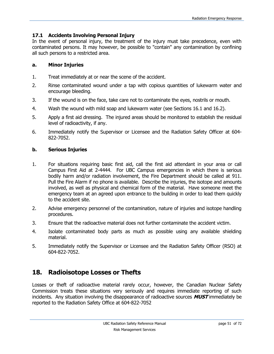#### **17.1 Accidents Involving Personal Injury**

In the event of personal injury, the treatment of the injury must take precedence, even with contaminated persons. It may however, be possible to "contain" any contamination by confining all such persons to a restricted area.

#### **a. Minor Injuries**

- 1. Treat immediately at or near the scene of the accident.
- 2. Rinse contaminated wound under a tap with copious quantities of lukewarm water and encourage bleeding.
- 3. If the wound is on the face, take care not to contaminate the eyes, nostrils or mouth.
- 4. Wash the wound with mild soap and lukewarm water (see Sections 16.1 and 16.2).
- 5. Apply a first aid dressing. The injured areas should be monitored to establish the residual level of radioactivity, if any.
- 6. Immediately notify the Supervisor or Licensee and the Radiation Safety Officer at 604- 822-7052.

#### **b. Serious Injuries**

- 1. For situations requiring basic first aid, call the first aid attendant in your area or call Campus First Aid at 2-4444. For UBC Campus emergencies in which there is serious bodily harm and/or radiation involvement, the Fire Department should be called at 911. Pull the Fire Alarm if no phone is available. Describe the injuries, the isotope and amounts involved, as well as physical and chemical form of the material. Have someone meet the emergency team at an agreed upon entrance to the building in order to lead them quickly to the accident site.
- 2. Advise emergency personnel of the contamination, nature of injuries and isotope handling procedures.
- 3. Ensure that the radioactive material does not further contaminate the accident victim.
- 4. Isolate contaminated body parts as much as possible using any available shielding material.
- 5. Immediately notify the Supervisor or Licensee and the Radiation Safety Officer (RSO) at 604-822-7052.

## **18. Radioisotope Losses or Thefts**

Losses or theft of radioactive material rarely occur, however, the Canadian Nuclear Safety Commission treats these situations very seriously and requires immediate reporting of such incidents. Any situation involving the disappearance of radioactive sources **MUST** immediately be reported to the Radiation Safety Office at 604-822-7052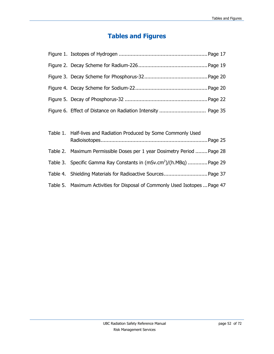# **Tables and Figures**

| Table 1. Half-lives and Radiation Produced by Some Commonly Used                |
|---------------------------------------------------------------------------------|
| Table 2. Maximum Permissible Doses per 1 year Dosimetry Period  Page 28         |
| Table 3. Specific Gamma Ray Constants in (mSv.cm <sup>2</sup> )/(h.MBq) Page 29 |
|                                                                                 |
| Table 5. Maximum Activities for Disposal of Commonly Used Isotopes  Page 47     |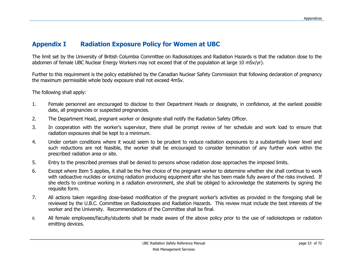# **Appendix I Radiation Exposure Policy for Women at UBC**

The limit set by the University of British Columbia Committee on Radioisotopes and Radiation Hazards is that the radiation dose to the abdomen of female UBC Nuclear Energy Workers may not exceed that of the population at large 10 mSv/yr).

Further to this requirement is the policy established by the Canadian Nuclear Safety Commission that following declaration of pregnancy the maximum permissible whole body exposure shall not exceed 4mSv.

The following shall apply:

- 1. Female personnel are encouraged to disclose to their Department Heads or designate, in confidence, at the earliest possible date, all pregnancies or suspected pregnancies.
- 2. The Department Head, pregnant worker or designate shall notify the Radiation Safety Officer.
- 3. In cooperation with the worker's supervisor, there shall be prompt review of her schedule and work load to ensure that radiation exposures shall be kept to a minimum.
- 4. Under certain conditions where it would seem to be prudent to reduce radiation exposures to a substantially lower level and such reductions are not feasible, the worker shall be encouraged to consider termination of any further work within the prescribed radiation area or site.
- 5. Entry to the prescribed premises shall be denied to persons whose radiation dose approaches the imposed limits.
- 6. Except where Item 5 applies, it shall be the free choice of the pregnant worker to determine whether she shall continue to work with radioactive nuclides or ionizing radiation producing equipment after she has been made fully aware of the risks involved. If she elects to continue working in a radiation environment, she shall be obliged to acknowledge the statements by signing the requisite form.
- 7. All actions taken regarding dose-based modification of the pregnant worker's activities as provided in the foregoing shall be reviewed by the U.B.C. Committee on Radioisotopes and Radiation Hazards. This review must include the best interests of the worker and the University. Recommendations of the Committee shall be final.
- 8. All female employees/faculty/students shall be made aware of the above policy prior to the use of radioisotopes or radiation emitting devices.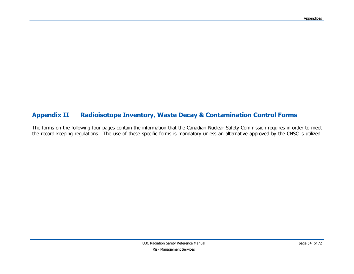# **Appendix II Radioisotope Inventory, Waste Decay & Contamination Control Forms**

<span id="page-53-0"></span>The forms on the following four pages contain the information that the Canadian Nuclear Safety Commission requires in order to meet the record keeping regulations. The use of these specific forms is mandatory unless an alternative approved by the CNSC is utilized.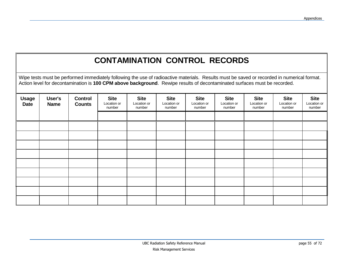# **CONTAMINATION CONTROL RECORDS**

Wipe tests must be performed immediately following the use of radioactive materials. Results must be saved or recorded in numerical format. Action level for decontamination is **100 CPM above background**. Rewipe results of decontaminated surfaces must be recorded.

| <b>Usage</b><br><b>Date</b> | User's<br><b>Name</b> | <b>Control</b><br><b>Counts</b> | <b>Site</b><br>Location or<br>number | <b>Site</b><br>Location or<br>number | <b>Site</b><br>Location or<br>number | <b>Site</b><br>Location or<br>number | <b>Site</b><br>Location or<br>number | <b>Site</b><br>Location or<br>number | <b>Site</b><br>Location or<br>number | <b>Site</b><br>Location or<br>number |
|-----------------------------|-----------------------|---------------------------------|--------------------------------------|--------------------------------------|--------------------------------------|--------------------------------------|--------------------------------------|--------------------------------------|--------------------------------------|--------------------------------------|
|                             |                       |                                 |                                      |                                      |                                      |                                      |                                      |                                      |                                      |                                      |
|                             |                       |                                 |                                      |                                      |                                      |                                      |                                      |                                      |                                      |                                      |
|                             |                       |                                 |                                      |                                      |                                      |                                      |                                      |                                      |                                      |                                      |
|                             |                       |                                 |                                      |                                      |                                      |                                      |                                      |                                      |                                      |                                      |
|                             |                       |                                 |                                      |                                      |                                      |                                      |                                      |                                      |                                      |                                      |
|                             |                       |                                 |                                      |                                      |                                      |                                      |                                      |                                      |                                      |                                      |
|                             |                       |                                 |                                      |                                      |                                      |                                      |                                      |                                      |                                      |                                      |
|                             |                       |                                 |                                      |                                      |                                      |                                      |                                      |                                      |                                      |                                      |
|                             |                       |                                 |                                      |                                      |                                      |                                      |                                      |                                      |                                      |                                      |
|                             |                       |                                 |                                      |                                      |                                      |                                      |                                      |                                      |                                      |                                      |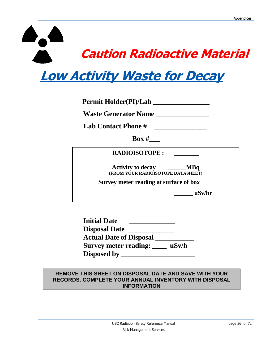# **Caution Radioactive Material** I

# <span id="page-55-0"></span>**Low Activity Waste for Decay**

| <b>Permit Holder(PI)/Lab</b>                                           |  |
|------------------------------------------------------------------------|--|
| <b>Waste Generator Name</b>                                            |  |
| <b>Lab Contact Phone #</b>                                             |  |
| $\bf{Box}$ #                                                           |  |
| <b>RADIOISOTOPE:</b>                                                   |  |
| M Bq<br><b>Activity to decay</b><br>(FROM YOUR RADIOISOTOPE DATASHEET) |  |
| Survey meter reading at surface of box                                 |  |
| uSv/hr                                                                 |  |

| <b>Initial Date</b>            |       |
|--------------------------------|-------|
| <b>Disposal Date</b>           |       |
| <b>Actual Date of Disposal</b> |       |
| Survey meter reading:          | uSv/h |
| <b>Disposed by</b>             |       |

#### **REMOVE THIS SHEET ON DISPOSAL DATE AND SAVE WITH YOUR RECORDS. COMPLETE YOUR ANNUAL INVENTORY WITH DISPOSAL INFORMATION**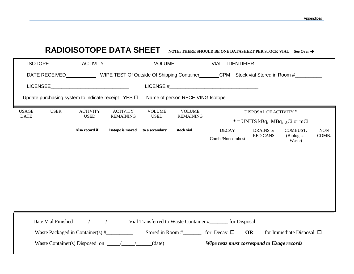|                                            | <b>RADIOISOTOPE DATA SHEET</b>                                                                                                           |                                                                   | NOTE: THERE SHOULD BE ONE DATASHEET PER STOCK VIAL See Over $\rightarrow$                             |                     |
|--------------------------------------------|------------------------------------------------------------------------------------------------------------------------------------------|-------------------------------------------------------------------|-------------------------------------------------------------------------------------------------------|---------------------|
|                                            |                                                                                                                                          |                                                                   |                                                                                                       |                     |
|                                            |                                                                                                                                          |                                                                   | DATE RECEIVED WIPE TEST Of Outside Of Shipping Container CPM Stock vial Stored in Room #              |                     |
| <b>LICENSEE</b>                            |                                                                                                                                          |                                                                   | LICENSE $#$                                                                                           |                     |
|                                            | Update purchasing system to indicate receipt $YES \Box$                                                                                  |                                                                   |                                                                                                       |                     |
| <b>USAGE</b><br><b>USER</b><br><b>DATE</b> | <b>ACTIVITY</b><br><b>ACTIVITY</b><br><b>USED</b><br><b>REMAINING</b>                                                                    | <b>VOLUME</b><br><b>VOLUME</b><br><b>USED</b><br><b>REMAINING</b> | DISPOSAL OF ACTIVITY *                                                                                |                     |
|                                            |                                                                                                                                          |                                                                   | $*$ = UNITS kBq, MBq, $\mu$ Ci or mCi                                                                 |                     |
|                                            | Also record if<br>isotope is moved                                                                                                       | stock vial<br>to a secondary                                      | <b>DECAY</b><br>DRAINS or<br>COMBUST.<br><b>RED CANS</b><br>(Biological<br>Comb./Noncombust<br>Waste) | <b>NON</b><br>COMB. |
|                                            |                                                                                                                                          |                                                                   |                                                                                                       |                     |
|                                            |                                                                                                                                          |                                                                   |                                                                                                       |                     |
|                                            | Waste Packaged in Container(s) $#$ Stored in Room $#$ for Decay $\square$ OR<br>Waste Container(s) Disposed on $\_\_\_\_\_\_\_\_$ (date) |                                                                   | for Immediate Disposal $\Box$<br>Wipe tests must correspond to Usage records                          |                     |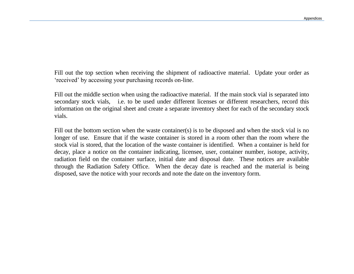Fill out the top section when receiving the shipment of radioactive material. Update your order as 'received' by accessing your purchasing records on-line.

Fill out the middle section when using the radioactive material. If the main stock vial is separated into secondary stock vials, i.e. to be used under different licenses or different researchers, record this information on the original sheet and create a separate inventory sheet for each of the secondary stock vials.

Fill out the bottom section when the waste container(s) is to be disposed and when the stock vial is no longer of use. Ensure that if the waste container is stored in a room other than the room where the stock vial is stored, that the location of the waste container is identified. When a container is held for decay, place a notice on the container indicating, licensee, user, container number, isotope, activity, radiation field on the container surface, initial date and disposal date. These notices are available through the Radiation Safety Office. When the decay date is reached and the material is being disposed, save the notice with your records and note the date on the inventory form.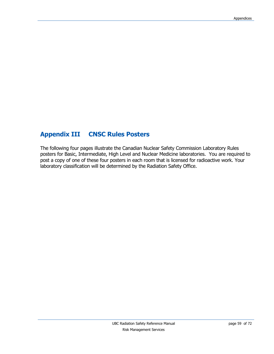# **Appendix III CNSC Rules Posters**

The following four pages illustrate the Canadian Nuclear Safety Commission Laboratory Rules posters for Basic, Intermediate, High Level and Nuclear Medicine laboratories. You are required to post a copy of one of these four posters in each room that is licensed for radioactive work. Your laboratory classification will be determined by the Radiation Safety Office.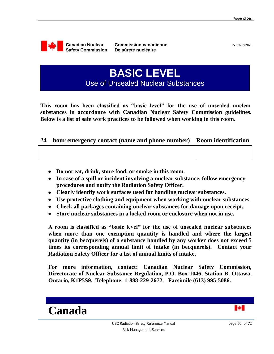

 **Commission canadienne**

**INFO-0728-1**

**BASIC LEVEL** Use of Unsealed Nuclear Substances

**This room has been classified as "basic level" for the use of unsealed nuclear substances in accordance with Canadian Nuclear Safety Commission guidelines. Below is a list of safe work practices to be followed when working in this room.**

#### **24 – hour emergency contact (name and phone number) Room identification**

- **Do not eat, drink, store food, or smoke in this room.**
- **In case of a spill or incident involving a nuclear substance, follow emergency procedures and notify the Radiation Safety Officer.**
- **Clearly identify work surfaces used for handling nuclear substances.**
- **Use protective clothing and equipment when working with nuclear substances.**
- **Check all packages containing nuclear substances for damage upon receipt.**
- **Store nuclear substances in a locked room or enclosure when not in use.**

**A room is classified as "basic level" for the use of unsealed nuclear substances when more than one exemption quantity is handled and where the largest quantity (in becquerels) of a substance handled by any worker does not exceed 5 times its corresponding annual limit of intake (in becquerels). Contact your Radiation Safety Officer for a list of annual limits of intake.**

**For more information, contact: Canadian Nuclear Safety Commission, Directorate of Nuclear Substance Regulation, P.O. Box 1046, Station B, Ottawa, Ontario, K1P5S9. Telephone: 1-888-229-2672. Facsimile (613) 995-5086.**

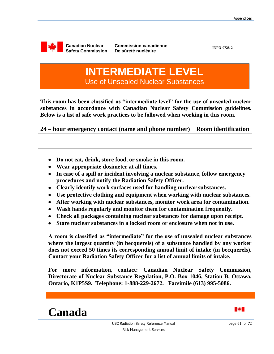

 **Commission canadienne De sûreté nucléaire**

**INFO-0728-2**

# **INTERMEDIATE LEVEL** Use of Unsealed Nuclear Substances

**This room has been classified as "intermediate level" for the use of unsealed nuclear substances in accordance with Canadian Nuclear Safety Commission guidelines. Below is a list of safe work practices to be followed when working in this room.**

|  |  |  | 24 – hour emergency contact (name and phone number) Room identification |
|--|--|--|-------------------------------------------------------------------------|
|  |  |  |                                                                         |

- **Do not eat, drink, store food, or smoke in this room.**
- **Wear appropriate dosimeter at all times.**
- **In case of a spill or incident involving a nuclear substance, follow emergency procedures and notify the Radiation Safety Officer.**
- **Clearly identify work surfaces used for handling nuclear substances.**
- **Use protective clothing and equipment when working with nuclear substances.**
- **After working with nuclear substances, monitor work area for contamination.**
- **Wash hands regularly and monitor them for contamination frequently.**
- **Check all packages containing nuclear substances for damage upon receipt.**
- **Store nuclear substances in a locked room or enclosure when not in use.**

**A room is classified as "intermediate" for the use of unsealed nuclear substances where the largest quantity (in becquerels) of a substance handled by any worker does not exceed 50 times its corresponding annual limit of intake (in becquerels). Contact your Radiation Safety Officer for a list of annual limits of intake.**

**For more information, contact: Canadian Nuclear Safety Commission, Directorate of Nuclear Substance Regulation, P.O. Box 1046, Station B, Ottawa, Ontario, K1P5S9. Telephone: 1-888-229-2672. Facsimile (613) 995-5086.**

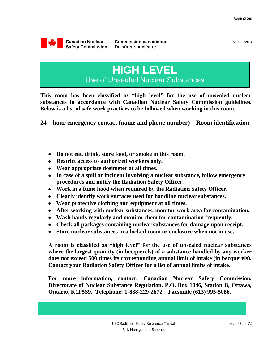

 **Commission canadienne De sûreté nucléaire**

# **HIGH LEVEL** Use of Unsealed Nuclear Substances

**This room has been classified as "high level" for the use of unsealed nuclear substances in accordance with Canadian Nuclear Safety Commission guidelines. Below is a list of safe work practices to be followed when working in this room.**

**24 – hour emergency contact (name and phone number) Room identification**

- **Do not eat, drink, store food, or smoke in this room.**
- **Restrict access to authorized workers only.**
- **Wear appropriate dosimeter at all times.**
- **In case of a spill or incident involving a nuclear substance, follow emergency procedures and notify the Radiation Safety Officer.**
- **Work in a fume hood when required by the Radiation Safety Officer.**
- **Clearly identify work surfaces used for handling nuclear substances.**
- **Wear protective clothing and equipment at all times.**
- **After working with nuclear substances, monitor work area for contamination.**
- **Wash hands regularly and monitor them for contamination frequently.**
- **Check all packages containing nuclear substances for damage upon receipt.**
- **Store nuclear substances in a locked room or enclosure when not in use.**

**A room is classified as "high level" for the use of unsealed nuclear substances where the largest quantity (in becquerels) of a substance handled by any worker does not exceed 500 times its corresponding annual limit of intake (in becquerels). Contact your Radiation Safety Officer for a list of annual limits of intake.**

**For more information, contact: Canadian Nuclear Safety Commission, Directorate of Nuclear Substance Regulation, P.O. Box 1046, Station B, Ottawa, Ontario, K1P5S9. Telephone: 1-888-229-2672. Facsimile (613) 995-5086.**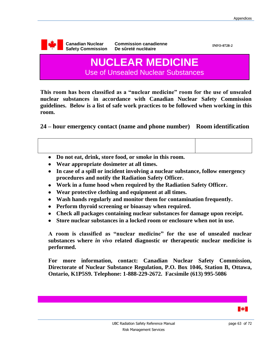

**This room has been classified as a "nuclear medicine" room for the use of unsealed nuclear substances in accordance with Canadian Nuclear Safety Commission guidelines. Below is a list of safe work practices to be followed when working in this room.**

**24 – hour emergency contact (name and phone number) Room identification**

- **Do not eat, drink, store food, or smoke in this room.**
- **Wear appropriate dosimeter at all times.**
- **In case of a spill or incident involving a nuclear substance, follow emergency procedures and notify the Radiation Safety Officer.**
- **Work in a fume hood when required by the Radiation Safety Officer.**
- **Wear protective clothing and equipment at all times.**
- **Wash hands regularly and monitor them for contamination frequently.**
- **Perform thyroid screening or bioassay when required.**
- **Check all packages containing nuclear substances for damage upon receipt.**
- **Store nuclear substances in a locked room or enclosure when not in use.**

**A room is classified as "nuclear medicine" for the use of unsealed nuclear substances where** *in vivo* **related diagnostic or therapeutic nuclear medicine is performed.** 

**For more information, contact: Canadian Nuclear Safety Commission, Directorate of Nuclear Substance Regulation, P.O. Box 1046, Station B, Ottawa, Ontario, K1P5S9. Telephone: 1-888-229-2672. Facsimile (613) 995-5086**

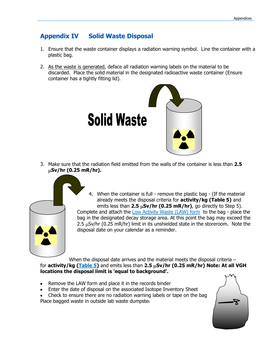### <span id="page-63-0"></span>**Appendix IV Solid Waste Disposal**

- 1. Ensure that the waste container displays a radiation warning symbol. Line the container with a plastic bag.
- 2. As the waste is generated, deface all radiation warning labels on the material to be discarded. Place the solid material in the designated radioactive waste container (Ensure container has a tightly fitting lid).



3. Make sure that the radiation field emitted from the walls of the container is less than **2.5 Sv/hr (0.25 mR/hr).**



4. When the container is full - remove the plastic bag - (If the material already meets the disposal criteria for **activity/kg (Table 5)** and emits less than  $2.5 \mu Sv/hr$  (0.25 mR/hr), go directly to Step 5). Complete and attach the [Low Activity Waste \(LAW\) form](#page-55-0) to the bag - place the bag in the designated decay storage area. At this point the bag may exceed the 2.5  $\mu$ Sv/hr (0.25 mR/hr) limit in its unshielded state in the storeroom. Note the disposal date on your calendar as a reminder.

When the disposal date arrives and the material meets the disposal criteria – for **activity/kg [\(Table 5\)](#page-46-0)** and emits less than 2.5  $\mu$ Sv/hr (0.25 mR/hr) Note: At all VGH **locations the disposal limit is 'equal to background'.**

- Remove the LAW form and place it in the records binder
- Enter the date of disposal on the associated Isotope Inventory Sheet
- Check to ensure there are no radiation warning labels or tape on the bag Place bagged waste in outside lab waste dumpster

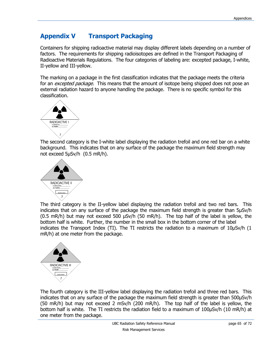# <span id="page-64-0"></span>**Appendix V Transport Packaging**

Containers for shipping radioactive material may display different labels depending on a number of factors. The requirements for shipping radioisotopes are defined in the Transport Packaging of Radioactive Materials Regulations. The four categories of labeling are: excepted package, I-white, II-yellow and III-yellow.

The marking on a package in the first classification indicates that the package meets the criteria for an *excepted package*. This means that the amount of isotope being shipped does not pose an external radiation hazard to anyone handling the package. There is no specific symbol for this classification.



The second category is the I-white label displaying the radiation trefoil and one red bar on a white background. This indicates that on any surface of the package the maximum field strength may not exceed 5μSv/h (0.5 mR/h).



The third category is the II-yellow label displaying the radiation trefoil and two red bars. This indicates that on any surface of the package the maximum field strength is greater than 5μSv/h (0.5 mR/h) but may not exceed 500 μSv/h (50 mR/h). The top half of the label is yellow, the bottom half is white. Further, the number in the small box in the bottom corner of the label indicates the Transport Index (TI). The TI restricts the radiation to a maximum of 10μSv/h (1 mR/h) at one meter from the package.



The fourth category is the III-yellow label displaying the radiation trefoil and three red bars. This indicates that on any surface of the package the maximum field strength is greater than 500μSv/h (50 mR/h) but may not exceed 2 mSv/h (200 mR/h). The top half of the label is yellow, the bottom half is white. The TI restricts the radiation field to a maximum of 100μSv/h (10 mR/h) at one meter from the package.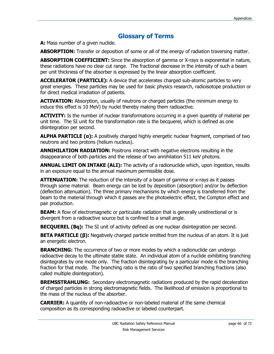# **Glossary of Terms**

**A:** Mass number of a given nuclide.

**ABSORPTION:** Transfer or deposition of some or all of the energy of radiation traversing matter.

**ABSORPTION COEFFICIENT:** Since the absorption of gamma or X-rays is exponential in nature, these radiations have no clear cut range. The fractional decrease in the intensity of such a beam per unit thickness of the absorber is expressed by the linear absorption coefficient.

**ACCELERATOR (PARTICLE):** A device that accelerates charged sub-atomic particles to very great energies. These particles may be used for basic physics research, radioisotope production or for direct medical irradiation of patients.

**ACTIVATION:** Absorption, usually of neutrons or charged particles (the minimum energy to induce this effect is 10 MeV) by nuclei thereby making them radioactive.

ACTIVITY: Is the number of nuclear transformations occurring in a given quantity of material per unit time. The SI unit for the transformation rate is the becquerel, which is defined as one disintegration per second.

**ALPHA PARTICLE (α):** A positively charged highly energetic nuclear fragment, comprised of two neutrons and two protons (helium nucleus).

**ANNIHILATION RADIATION:** Positrons interact with negative electrons resulting in the disappearance of both particles and the release of two annihilation 511 keV photons.

**ANNUAL LIMIT ON INTAKE (ALI):** The activity of a radionuclide which, upon ingestion, results in an exposure equal to the annual maximum permissible dose.

**ATTENUATION:** The reduction of the intensity of a beam of gamma or x-rays as it passes through some material. Beam energy can be lost by deposition (absorption) and/or by deflection (deflection attenuation). The three primary mechanisms by which energy is transferred from the beam to the material through which it passes are the photoelectric effect, the Compton effect and pair production.

**BEAM:** A flow of electromagnetic or particulate radiation that is generally unidirectional or is divergent from a radioactive source but is confined to a small angle.

**BECQUEREL (Bq):** The SI unit of activity defined as one nuclear disintegration per second.

**BETA PARTICLE (β):** Negatively charged particle emitted from the nucleus of an atom. It is just an energetic electron.

**BRANCHING:** The occurrence of two or more modes by which a radionuclide can undergo radioactive decay to the ultimate stable state. An individual atom of a nuclide exhibiting branching disintegrates by one mode only. The fraction disintegrating by a particular mode is the branching fraction for that mode. The branching ratio is the ratio of two specified branching fractions (also called multiple disintegration).

**BREMSSTRAHLUNG:** Secondary electromagnetic radiations produced by the rapid deceleration of charged particles in strong electromagnetic fields. The likelihood of emission is proportional to the mass of the nucleus of the absorber.

**CARRIER:** A quantity of non-radioactive or non-labeled material of the same chemical composition as its corresponding radioactive or labeled counterpart.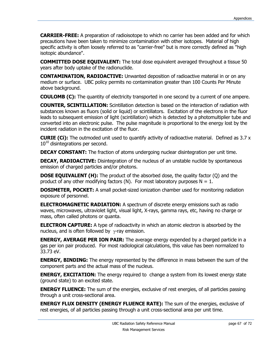**CARRIER-FREE:** A preparation of radioisotope to which no carrier has been added and for which precautions have been taken to minimize contamination with other isotopes. Material of high specific activity is often loosely referred to as "carrier-free" but is more correctly defined as "high isotopic abundance".

**COMMITTED DOSE EQUIVALENT:** The total dose equivalent averaged throughout a tissue 50 years after body uptake of the radionuclide.

**CONTAMINATION, RADIOACTIVE:** Unwanted deposition of radioactive material in or on any medium or surface. UBC policy permits no contamination greater than 100 Counts Per Minute above background.

**COULOMB (C):** The quantity of electricity transported in one second by a current of one ampere.

**COUNTER, SCINTILLATION:** Scintillation detection is based on the interaction of radiation with substances known as fluors (solid or liquid) or scintillators. Excitation of the electrons in the fluor leads to subsequent emission of light (scintillation) which is detected by a photomultiplier tube and converted into an electronic pulse. The pulse magnitude is proportional to the energy lost by the incident radiation in the excitation of the fluor.

**CURIE (Ci):** The outmoded unit used to quantify activity of radioactive material. Defined as 3.7 x  $10^{10}$  disintegrations per second.

**DECAY CONSTANT:** The fraction of atoms undergoing nuclear disintegration per unit time.

**DECAY, RADIOACTIVE:** Disintegration of the nucleus of an unstable nuclide by spontaneous emission of charged particles and/or photons.

**DOSE EQUIVALENT (H):** The product of the absorbed dose, the quality factor (Q) and the product of any other modifying factors (N). For most laboratory purposes  $N = 1$ .

**DOSIMETER, POCKET:** A small pocket-sized ionization chamber used for monitoring radiation exposure of personnel.

**ELECTROMAGNETIC RADIATION:** A spectrum of discrete energy emissions such as radio waves, microwaves, ultraviolet light, visual light, X-rays, gamma rays, etc, having no charge or mass, often called photons or quanta.

**ELECTRON CAPTURE:** A type of radioactivity in which an atomic electron is absorbed by the nucleus, and is often followed by  $\gamma$ -ray emission.

**ENERGY, AVERAGE PER ION PAIR:** The average energy expended by a charged particle in a gas per ion pair produced. For most radiological calculations, this value has been normalized to 33.73 eV.

**ENERGY, BINDING:** The energy represented by the difference in mass between the sum of the component parts and the actual mass of the nucleus.

**ENERGY, EXCITATION:** The energy required to change a system from its lowest energy state (ground state) to an excited state.

**ENERGY FLUENCE:** The sum of the energies, exclusive of rest energies, of all particles passing through a unit cross-sectional area.

**ENERGY FLUX DENSITY (ENERGY FLUENCE RATE):** The sum of the energies, exclusive of rest energies, of all particles passing through a unit cross-sectional area per unit time.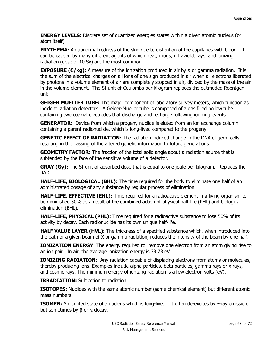**ENERGY LEVELS:** Discrete set of quantized energies states within a given atomic nucleus (or atom itself).

**ERYTHEMA:** An abnormal redness of the skin due to distention of the capillaries with blood. It can be caused by many different agents of which heat, drugs, ultraviolet rays, and ionizing radiation (dose of 10 Sv) are the most common.

**EXPOSURE (C/kg):** A measure of the ionization produced in air by X or gamma radiation. It is the sum of the electrical charges on all ions of one sign produced in air when all electrons liberated by photons in a volume element of air are completely stopped in air, divided by the mass of the air in the volume element. The SI unit of Coulombs per kilogram replaces the outmoded Roentgen unit.

**GEIGER MUELLER TUBE:** The major component of laboratory survey meters, which function as incident radiation detectors. A Geiger-Mueller tube is composed of a gas filled hollow tube containing two coaxial electrodes that discharge and recharge following ionizing events.

**GENERATOR:** Device from which a progeny nuclide is eluted from an ion exchange column containing a parent radionuclide, which is long-lived compared to the progeny.

**GENETIC EFFECT OF RADIATION:** The radiation induced change in the DNA of germ cells resulting in the passing of the altered genetic information to future generations.

**GEOMETRY FACTOR:** The fraction of the total solid angle about a radiation source that is subtended by the face of the sensitive volume of a detector.

**GRAY (Gy):** The SI unit of absorbed dose that is equal to one joule per kilogram. Replaces the RAD.

**HALF-LIFE, BIOLOGICAL (BHL):** The time required for the body to eliminate one half of an administrated dosage of any substance by regular process of elimination.

**HALF-LIFE, EFFECTIVE (EHL):** Time required for a radioactive element in a living organism to be diminished 50% as a result of the combined action of physical half-life (PHL) and biological elimination (BHL).

**HALF-LIFE, PHYSICAL (PHL):** Time required for a radioactive substance to lose 50% of its activity by decay. Each radionuclide has its own unique half-life.

**HALF VALUE LAYER (HVL):** The thickness of a specified substance which, when introduced into the path of a given beam of X or gamma radiation, reduces the intensity of the beam by one half.

**IONIZATION ENERGY:** The energy required to remove one electron from an atom giving rise to an ion pair. In air, the average ionization energy is 33.73 eV.

**IONIZING RADIATION:** Any radiation capable of displacing electrons from atoms or molecules, thereby producing ions. Examples include alpha particles, beta particles, gamma rays or x rays, and cosmic rays. The minimum energy of ionizing radiation is a few electron volts (eV).

**IRRADIATION:** Subjection to radiation.

**ISOTOPES:** Nuclides with the same atomic number (same chemical element) but different atomic mass numbers.

**ISOMER:** An excited state of a nucleus which is long-lived. It often de-excites by  $\gamma$ -ray emission, but sometimes by  $\beta$  or  $\alpha$  decay.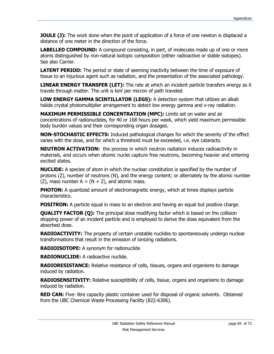**JOULE (J):** The work done when the point of application of a force of one newton is displaced a distance of one meter in the direction of the force.

**LABELLED COMPOUND:** A compound consisting, in part, of molecules made up of one or more atoms distinguished by non-natural isotopic composition (either radioactive or stable isotopes). See also Carrier.

**LATENT PERIOD:** The period or state of seeming inactivity between the time of exposure of tissue to an injurious agent such as radiation, and the presentation of the associated pathology.

**LINEAR ENERGY TRANSFER (LET):** The rate at which an incident particle transfers energy as it travels through matter. The unit is keV per micron of path traveled

**LOW ENERGY GAMMA SCINTILLATOR (LEGS):** A detection system that utilizes an alkali halide crystal photomultiplier arrangement to detect low energy gamma and x-ray radiation.

**MAXIMUM PERMISSIBLE CONCENTRATION (MPC):** Limits set on water and air concentrations of radionuclides, for 40 or 168 hours per week, which yield maximum permissible body burden values and their corresponding organ dosages.

**NON-STOCHASTIC EFFECTS:** Induced pathological changes for which the severity of the effect varies with the dose, and for which a threshold must be exceeded, i.e. eye cataracts.

**NEUTRON ACTIVATION:** the process in which neutron radiation induces radioactivity in materials, and occurs when atomic nuclei capture free neutrons, becoming heavier and entering excited states.

**NUCLlDE:** A species of atom in which the nuclear constitution is specified by the number of protons (Z), number of neutrons (N), and the energy content; or alternately by the atomic number  $(Z)$ , mass number A =  $(N + Z)$ , and atomic mass.

**PHOTON:** A quantized amount of electromagnetic energy, which at times displays particle characteristics.

**POSITRON:** A particle equal in mass to an electron and having an equal but positive charge.

**QUALITY FACTOR (Q):** The principal dose modifying factor which is based on the collision stopping power of an incident particle and is employed to derive the dose equivalent from the absorbed dose.

**RADIOACTIVITY:** The property of certain unstable nuclides to spontaneously undergo nuclear transformations that result in the emission of ionizing radiations.

**RADIOISOTOPE:** A synonym for radionuclide

**RADIONUCLIDE:** A radioactive nuclide.

**RADIORESISTANCE:** Relative resistance of cells, tissues, organs and organisms to damage induced by radiation.

**RADIOSENSITIVITY:** Relative susceptibility of cells, tissue, organs and organisms to damage induced by radiation.

**RED CAN:** Five- litre capacity plastic container used for disposal of organic solvents. Obtained from the UBC Chemical Waste Processing Facility (822-6306).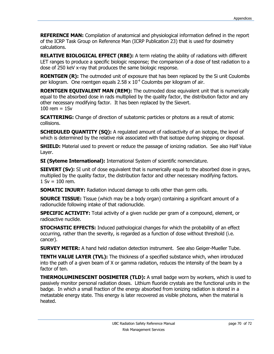**REFERENCE MAN:** Compilation of anatomical and physiological information defined in the report of the ICRP Task Group on Reference Man (ICRP Publication 23) that is used for dosimetry calculations.

**RELATIVE BIOLOGICAL EFFECT (RBE):** A term relating the ability of radiations with different LET ranges to produce a specific biologic response; the comparison of a dose of test radiation to a dose of 250 keV x-ray that produces the same biologic response.

**ROENTGEN (R):** The outmoded unit of exposure that has been replaced by the Si unit Coulombs per kilogram. One roentgen equals 2.58  $\times$  10<sup>-4</sup> Coulombs per kilogram of air.

**ROENTGEN EQUIVALENT MAN (REM):** The outmoded dose equivalent unit that is numerically equal to the absorbed dose in rads multiplied by the quality factor, the distribution factor and any other necessary modifying factor. It has been replaced by the Sievert.  $100$  rem =  $1$ Sv

**SCATTERING:** Change of direction of subatomic particles or photons as a result of atomic collisions.

**SCHEDULED QUANTITY (SQ):** A regulated amount of radioactivity of an isotope, the level of which is determined by the relative risk associated with that isotope during shipping or disposal.

**SHIELD:** Material used to prevent or reduce the passage of ionizing radiation. See also Half Value Layer.

**SI (Syteme International):** International System of scientific nomenclature.

**SIEVERT (Sv):** SI unit of dose equivalent that is numerically equal to the absorbed dose in grays, multiplied by the quality factor, the distribution factor and other necessary modifying factors.  $1 Sv = 100 rem.$ 

**SOMATIC INJURY:** Radiation induced damage to cells other than germ cells.

**SOURCE TISSUE:** Tissue (which may be a body organ) containing a significant amount of a radionuclide following intake of that radionuclide.

**SPECIFIC ACTIVITY:** Total activity of a given nuclide per gram of a compound, element, or radioactive nuclide.

**STOCHASTIC EFFECTS:** Induced pathological changes for which the probability of an effect occurring, rather than the severity, is regarded as a function of dose without threshold (i.e. cancer).

**SURVEY METER:** A hand held radiation detection instrument. See also Geiger-Mueller Tube.

**TENTH VALUE LAYER (TVL):** The thickness of a specified substance which, when introduced into the path of a given beam of X or gamma radiation, reduces the intensity of the beam by a factor of ten.

**THERMOLUMINESCENT DOSIMETER (TLD):** A small badge worn by workers, which is used to passively monitor personal radiation doses. Lithium fluoride crystals are the functional units in the badge. In which a small fraction of the energy absorbed from ionizing radiation is stored in a metastable energy state. This energy is later recovered as visible photons, when the material is heated.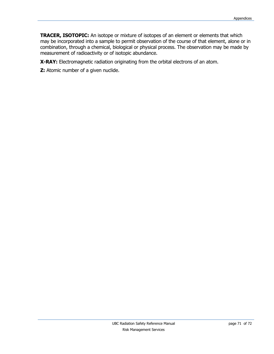**TRACER, ISOTOPIC:** An isotope or mixture of isotopes of an element or elements that which may be incorporated into a sample to permit observation of the course of that element, alone or in combination, through a chemical, biological or physical process. The observation may be made by measurement of radioactivity or of isotopic abundance.

**X-RAY:** Electromagnetic radiation originating from the orbital electrons of an atom.

**Z:** Atomic number of a given nuclide.